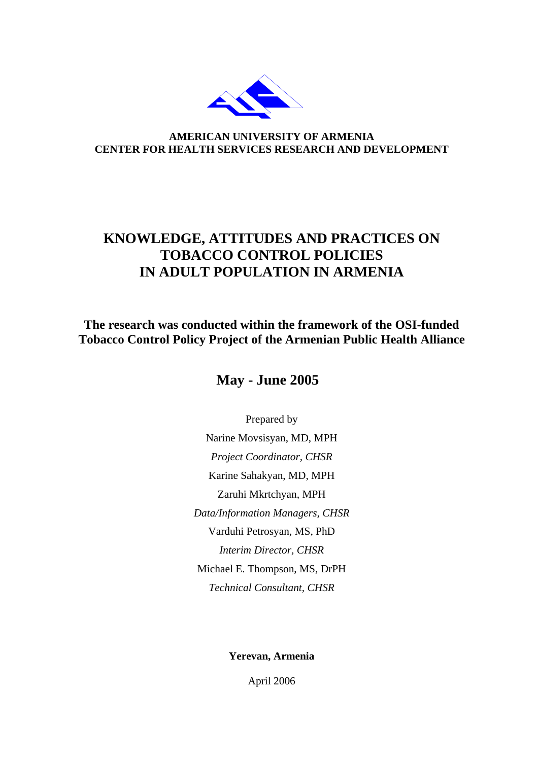

**AMERICAN UNIVERSITY OF ARMENIA CENTER FOR HEALTH SERVICES RESEARCH AND DEVELOPMENT** 

## **KNOWLEDGE, ATTITUDES AND PRACTICES ON TOBACCO CONTROL POLICIES IN ADULT POPULATION IN ARMENIA**

**The research was conducted within the framework of the OSI-funded Tobacco Control Policy Project of the Armenian Public Health Alliance** 

 **May - June 2005** 

Prepared by Narine Movsisyan, MD, MPH *Project Coordinator, CHSR*  Karine Sahakyan, MD, MPH Zaruhi Mkrtchyan, MPH *Data/Information Managers, CHSR*  Varduhi Petrosyan, MS, PhD *Interim Director, CHSR*  Michael E. Thompson, MS, DrPH *Technical Consultant, CHSR* 

**Yerevan, Armenia** 

April 2006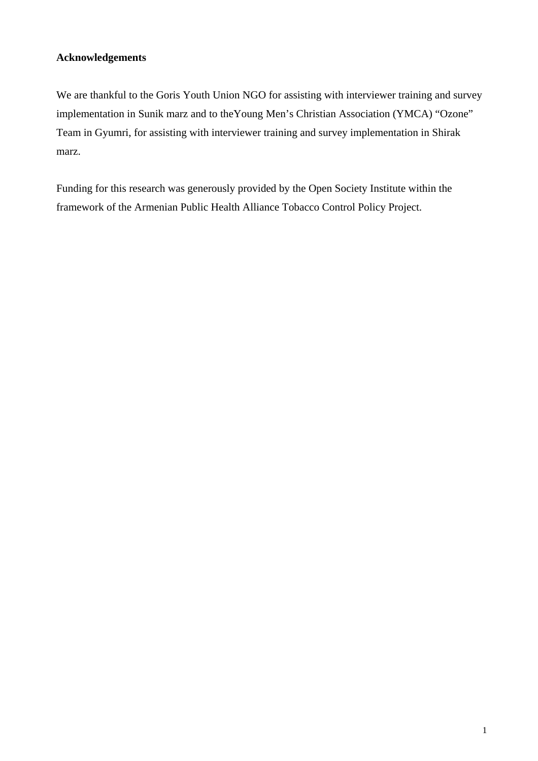## **Acknowledgements**

We are thankful to the Goris Youth Union NGO for assisting with interviewer training and survey implementation in Sunik marz and to theYoung Men's Christian Association (YMCA) "Ozone" Team in Gyumri, for assisting with interviewer training and survey implementation in Shirak marz.

Funding for this research was generously provided by the Open Society Institute within the framework of the Armenian Public Health Alliance Tobacco Control Policy Project.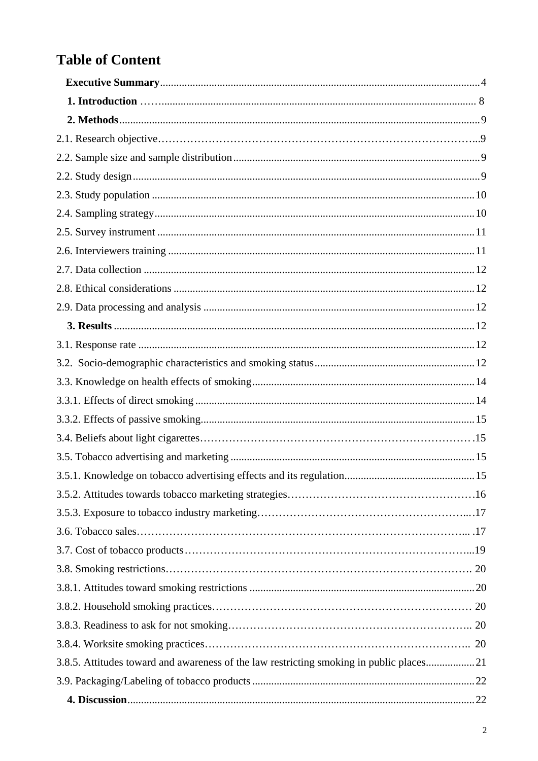# **Table of Content**

| 3.8.5. Attitudes toward and awareness of the law restricting smoking in public places21 |  |
|-----------------------------------------------------------------------------------------|--|
|                                                                                         |  |
|                                                                                         |  |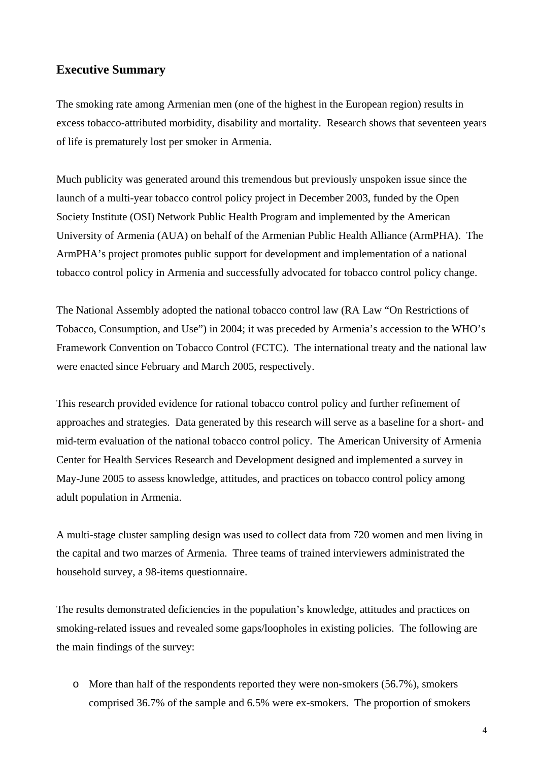## <span id="page-4-0"></span>**Executive Summary**

The smoking rate among Armenian men (one of the highest in the European region) results in excess tobacco-attributed morbidity, disability and mortality. Research shows that seventeen years of life is prematurely lost per smoker in Armenia.

Much publicity was generated around this tremendous but previously unspoken issue since the launch of a multi-year tobacco control policy project in December 2003, funded by the Open Society Institute (OSI) Network Public Health Program and implemented by the American University of Armenia (AUA) on behalf of the Armenian Public Health Alliance (ArmPHA). The ArmPHA's project promotes public support for development and implementation of a national tobacco control policy in Armenia and successfully advocated for tobacco control policy change.

The National Assembly adopted the national tobacco control law (RA Law "On Restrictions of Tobacco, Consumption, and Use") in 2004; it was preceded by Armenia's accession to the WHO's Framework Convention on Tobacco Control (FCTC). The international treaty and the national law were enacted since February and March 2005, respectively.

This research provided evidence for rational tobacco control policy and further refinement of approaches and strategies. Data generated by this research will serve as a baseline for a short- and mid-term evaluation of the national tobacco control policy. The American University of Armenia Center for Health Services Research and Development designed and implemented a survey in May-June 2005 to assess knowledge, attitudes, and practices on tobacco control policy among adult population in Armenia.

A multi-stage cluster sampling design was used to collect data from 720 women and men living in the capital and two marzes of Armenia. Three teams of trained interviewers administrated the household survey, a 98-items questionnaire.

The results demonstrated deficiencies in the population's knowledge, attitudes and practices on smoking-related issues and revealed some gaps/loopholes in existing policies. The following are the main findings of the survey:

o More than half of the respondents reported they were non-smokers (56.7%), smokers comprised 36.7% of the sample and 6.5% were ex-smokers. The proportion of smokers

4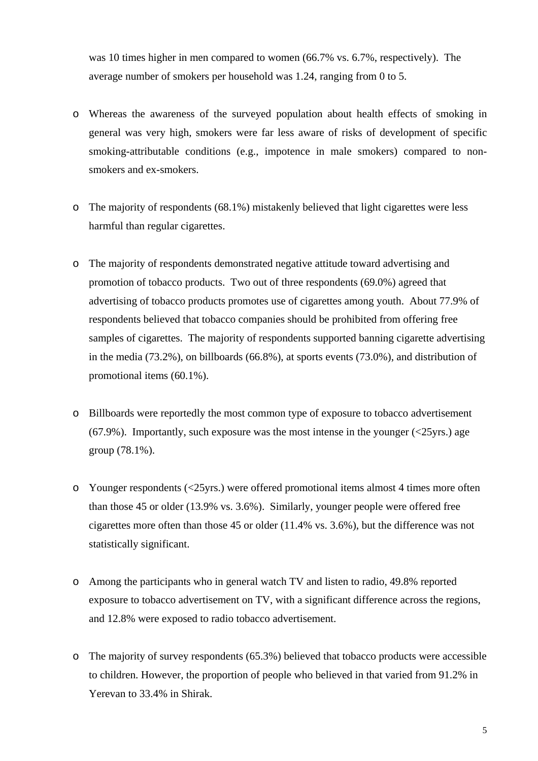was 10 times higher in men compared to women (66.7% vs. 6.7%, respectively). The average number of smokers per household was 1.24, ranging from 0 to 5.

- o Whereas the awareness of the surveyed population about health effects of smoking in general was very high, smokers were far less aware of risks of development of specific smoking-attributable conditions (e.g., impotence in male smokers) compared to nonsmokers and ex-smokers.
- o The majority of respondents (68.1%) mistakenly believed that light cigarettes were less harmful than regular cigarettes.
- o The majority of respondents demonstrated negative attitude toward advertising and promotion of tobacco products. Two out of three respondents (69.0%) agreed that advertising of tobacco products promotes use of cigarettes among youth. About 77.9% of respondents believed that tobacco companies should be prohibited from offering free samples of cigarettes. The majority of respondents supported banning cigarette advertising in the media (73.2%), on billboards (66.8%), at sports events (73.0%), and distribution of promotional items (60.1%).
- o Billboards were reportedly the most common type of exposure to tobacco advertisement  $(67.9\%)$ . Importantly, such exposure was the most intense in the younger  $(\leq 25$ yrs.) age group (78.1%).
- o Younger respondents (<25yrs.) were offered promotional items almost 4 times more often than those 45 or older (13.9% vs. 3.6%). Similarly, younger people were offered free cigarettes more often than those 45 or older (11.4% vs. 3.6%), but the difference was not statistically significant.
- o Among the participants who in general watch TV and listen to radio, 49.8% reported exposure to tobacco advertisement on TV, with a significant difference across the regions, and 12.8% were exposed to radio tobacco advertisement.
- o The majority of survey respondents (65.3%) believed that tobacco products were accessible to children. However, the proportion of people who believed in that varied from 91.2% in Yerevan to 33.4% in Shirak.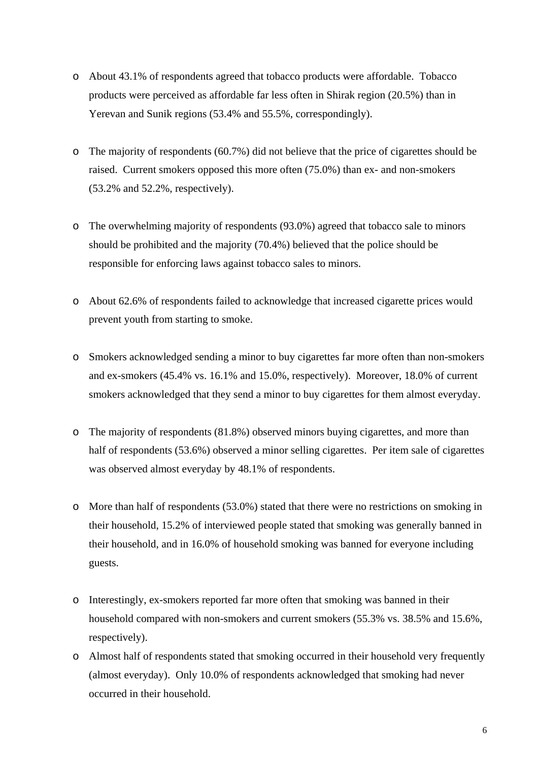- o About 43.1% of respondents agreed that tobacco products were affordable. Tobacco products were perceived as affordable far less often in Shirak region (20.5%) than in Yerevan and Sunik regions (53.4% and 55.5%, correspondingly).
- o The majority of respondents (60.7%) did not believe that the price of cigarettes should be raised. Current smokers opposed this more often (75.0%) than ex- and non-smokers (53.2% and 52.2%, respectively).
- o The overwhelming majority of respondents (93.0%) agreed that tobacco sale to minors should be prohibited and the majority (70.4%) believed that the police should be responsible for enforcing laws against tobacco sales to minors.
- o About 62.6% of respondents failed to acknowledge that increased cigarette prices would prevent youth from starting to smoke.
- o Smokers acknowledged sending a minor to buy cigarettes far more often than non-smokers and ex-smokers (45.4% vs. 16.1% and 15.0%, respectively). Moreover, 18.0% of current smokers acknowledged that they send a minor to buy cigarettes for them almost everyday.
- o The majority of respondents (81.8%) observed minors buying cigarettes, and more than half of respondents (53.6%) observed a minor selling cigarettes. Per item sale of cigarettes was observed almost everyday by 48.1% of respondents.
- o More than half of respondents (53.0%) stated that there were no restrictions on smoking in their household, 15.2% of interviewed people stated that smoking was generally banned in their household, and in 16.0% of household smoking was banned for everyone including guests.
- o Interestingly, ex-smokers reported far more often that smoking was banned in their household compared with non-smokers and current smokers (55.3% vs. 38.5% and 15.6%, respectively).
- o Almost half of respondents stated that smoking occurred in their household very frequently (almost everyday). Only 10.0% of respondents acknowledged that smoking had never occurred in their household.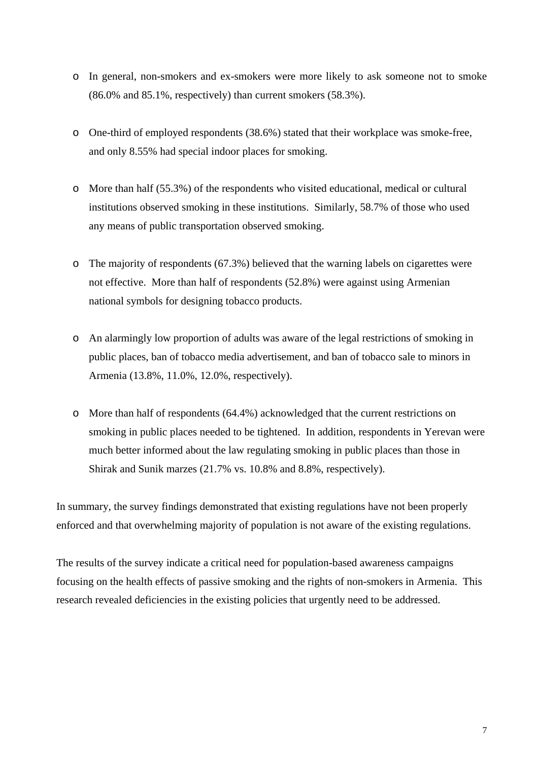- o In general, non-smokers and ex-smokers were more likely to ask someone not to smoke (86.0% and 85.1%, respectively) than current smokers (58.3%).
- o One-third of employed respondents (38.6%) stated that their workplace was smoke-free, and only 8.55% had special indoor places for smoking.
- o More than half (55.3%) of the respondents who visited educational, medical or cultural institutions observed smoking in these institutions. Similarly, 58.7% of those who used any means of public transportation observed smoking.
- $\circ$  The majority of respondents (67.3%) believed that the warning labels on cigarettes were not effective. More than half of respondents (52.8%) were against using Armenian national symbols for designing tobacco products.
- o An alarmingly low proportion of adults was aware of the legal restrictions of smoking in public places, ban of tobacco media advertisement, and ban of tobacco sale to minors in Armenia (13.8%, 11.0%, 12.0%, respectively).
- o More than half of respondents (64.4%) acknowledged that the current restrictions on smoking in public places needed to be tightened. In addition, respondents in Yerevan were much better informed about the law regulating smoking in public places than those in Shirak and Sunik marzes (21.7% vs. 10.8% and 8.8%, respectively).

In summary, the survey findings demonstrated that existing regulations have not been properly enforced and that overwhelming majority of population is not aware of the existing regulations.

The results of the survey indicate a critical need for population-based awareness campaigns focusing on the health effects of passive smoking and the rights of non-smokers in Armenia. This research revealed deficiencies in the existing policies that urgently need to be addressed.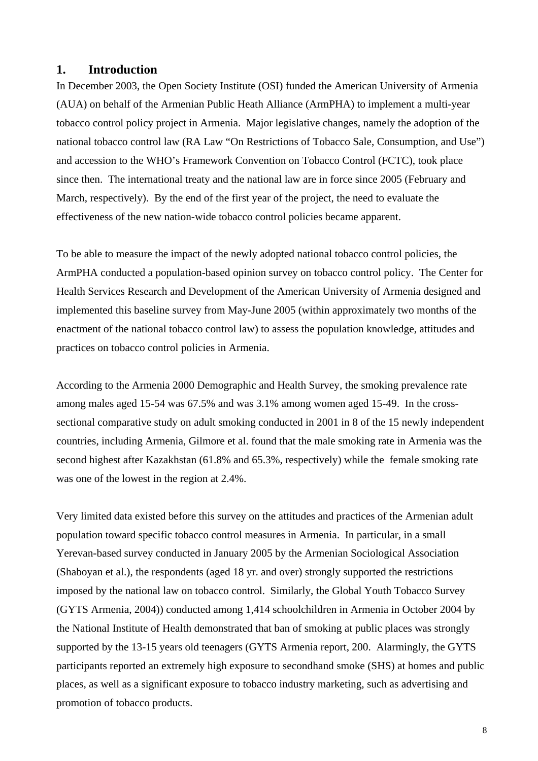## <span id="page-8-0"></span>**1. Introduction**

In December 2003, the Open Society Institute (OSI) funded the American University of Armenia (AUA) on behalf of the Armenian Public Heath Alliance (ArmPHA) to implement a multi-year tobacco control policy project in Armenia. Major legislative changes, namely the adoption of the national tobacco control law (RA Law "On Restrictions of Tobacco Sale, Consumption, and Use") and accession to the WHO's Framework Convention on Tobacco Control (FCTC), took place since then. The international treaty and the national law are in force since 2005 (February and March, respectively). By the end of the first year of the project, the need to evaluate the effectiveness of the new nation-wide tobacco control policies became apparent.

To be able to measure the impact of the newly adopted national tobacco control policies, the ArmPHA conducted a population-based opinion survey on tobacco control policy. The Center for Health Services Research and Development of the American University of Armenia designed and implemented this baseline survey from May-June 2005 (within approximately two months of the enactment of the national tobacco control law) to assess the population knowledge, attitudes and practices on tobacco control policies in Armenia.

According to the Armenia 2000 Demographic and Health Survey, the smoking prevalence rate among males aged 15-54 was 67.5% and was 3.1% among women aged 15-49. In the crosssectional comparative study on adult smoking conducted in 2001 in 8 of the 15 newly independent countries, including Armenia, Gilmore et al. found that the male smoking rate in Armenia was the second highest after Kazakhstan (61.8% and 65.3%, respectively) while the female smoking rate was one of the lowest in the region at 2.4%.

Very limited data existed before this survey on the attitudes and practices of the Armenian adult population toward specific tobacco control measures in Armenia. In particular, in a small Yerevan-based survey conducted in January 2005 by the Armenian Sociological Association (Shaboyan et al.), the respondents (aged 18 yr. and over) strongly supported the restrictions imposed by the national law on tobacco control. Similarly, the Global Youth Tobacco Survey (GYTS Armenia, 2004)) conducted among 1,414 schoolchildren in Armenia in October 2004 by the National Institute of Health demonstrated that ban of smoking at public places was strongly supported by the 13-15 years old teenagers (GYTS Armenia report, 200. Alarmingly, the GYTS participants reported an extremely high exposure to secondhand smoke (SHS) at homes and public places, as well as a significant exposure to tobacco industry marketing, such as advertising and promotion of tobacco products.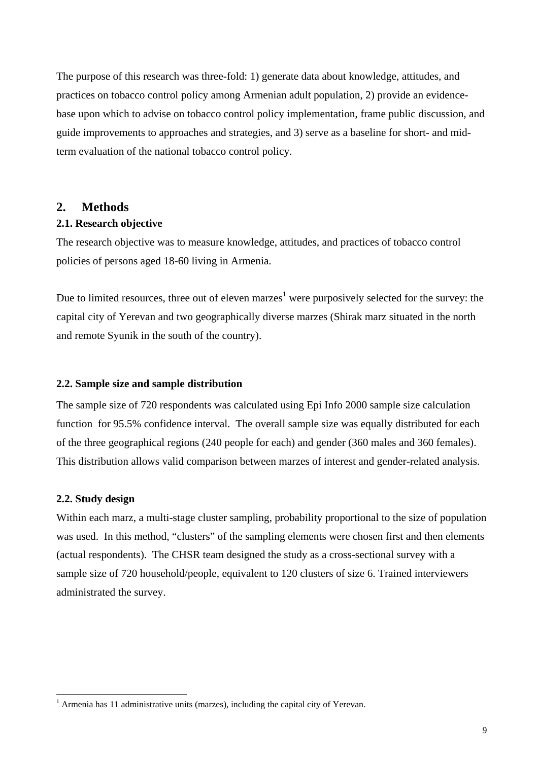<span id="page-9-0"></span>The purpose of this research was three-fold: 1) generate data about knowledge, attitudes, and practices on tobacco control policy among Armenian adult population, 2) provide an evidencebase upon which to advise on tobacco control policy implementation, frame public discussion, and guide improvements to approaches and strategies, and 3) serve as a baseline for short- and midterm evaluation of the national tobacco control policy.

### **2. Methods**

#### **2.1. Research objective**

The research objective was to measure knowledge, attitudes, and practices of tobacco control policies of persons aged 18-60 living in Armenia.

Due to limited resources, three out of eleven marzes<sup>[1](#page-9-1)</sup> were purposively selected for the survey: the capital city of Yerevan and two geographically diverse marzes (Shirak marz situated in the north and remote Syunik in the south of the country).

#### **2.2. Sample size and sample distribution**

The sample size of 720 respondents was calculated using Epi Info 2000 sample size calculation function for 95.5% confidence interval. The overall sample size was equally distributed for each of the three geographical regions (240 people for each) and gender (360 males and 360 females). This distribution allows valid comparison between marzes of interest and gender-related analysis.

#### **2.2. Study design**

 $\overline{a}$ 

Within each marz, a multi-stage cluster sampling, probability proportional to the size of population was used. In this method, "clusters" of the sampling elements were chosen first and then elements (actual respondents). The CHSR team designed the study as a cross-sectional survey with a sample size of 720 household/people, equivalent to 120 clusters of size 6. Trained interviewers administrated the survey.

<span id="page-9-1"></span> $<sup>1</sup>$  Armenia has 11 administrative units (marzes), including the capital city of Yerevan.</sup>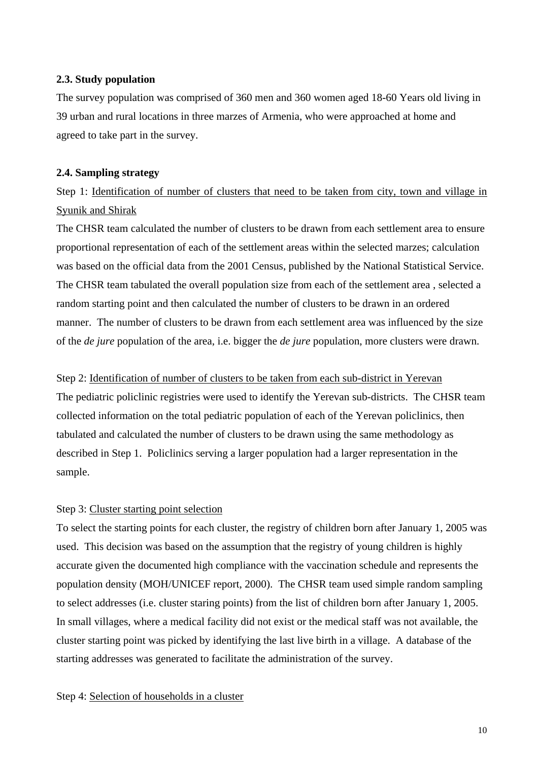#### <span id="page-10-0"></span>**2.3. Study population**

The survey population was comprised of 360 men and 360 women aged 18-60 Years old living in 39 urban and rural locations in three marzes of Armenia, who were approached at home and agreed to take part in the survey.

#### **2.4. Sampling strategy**

Step 1: Identification of number of clusters that need to be taken from city, town and village in Syunik and Shirak

The CHSR team calculated the number of clusters to be drawn from each settlement area to ensure proportional representation of each of the settlement areas within the selected marzes; calculation was based on the official data from the 2001 Census, published by the National Statistical Service. The CHSR team tabulated the overall population size from each of the settlement area , selected a random starting point and then calculated the number of clusters to be drawn in an ordered manner. The number of clusters to be drawn from each settlement area was influenced by the size of the *de jure* population of the area, i.e. bigger the *de jure* population, more clusters were drawn.

Step 2: Identification of number of clusters to be taken from each sub-district in Yerevan

The pediatric policlinic registries were used to identify the Yerevan sub-districts. The CHSR team collected information on the total pediatric population of each of the Yerevan policlinics, then tabulated and calculated the number of clusters to be drawn using the same methodology as described in Step 1. Policlinics serving a larger population had a larger representation in the sample.

## Step 3: Cluster starting point selection

To select the starting points for each cluster, the registry of children born after January 1, 2005 was used. This decision was based on the assumption that the registry of young children is highly accurate given the documented high compliance with the vaccination schedule and represents the population density (MOH/UNICEF report, 2000). The CHSR team used simple random sampling to select addresses (i.e. cluster staring points) from the list of children born after January 1, 2005. In small villages, where a medical facility did not exist or the medical staff was not available, the cluster starting point was picked by identifying the last live birth in a village. A database of the starting addresses was generated to facilitate the administration of the survey.

Step 4: Selection of households in a cluster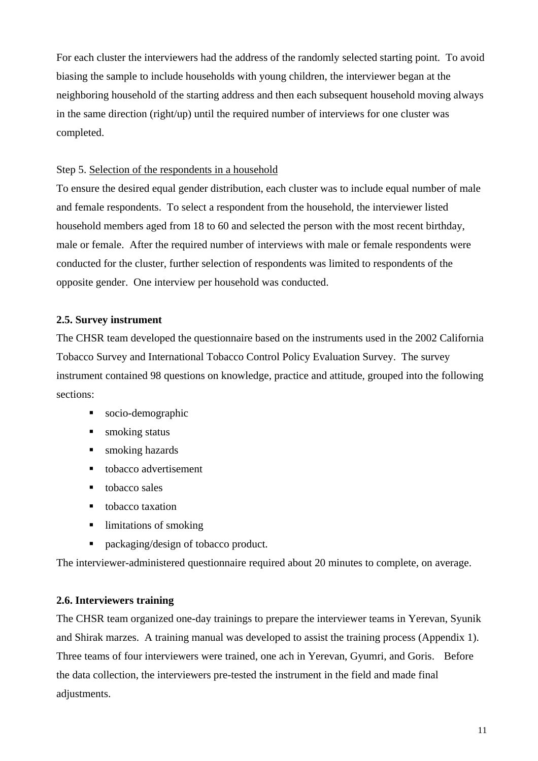<span id="page-11-0"></span>For each cluster the interviewers had the address of the randomly selected starting point. To avoid biasing the sample to include households with young children, the interviewer began at the neighboring household of the starting address and then each subsequent household moving always in the same direction (right/up) until the required number of interviews for one cluster was completed.

## Step 5. Selection of the respondents in a household

To ensure the desired equal gender distribution, each cluster was to include equal number of male and female respondents. To select a respondent from the household, the interviewer listed household members aged from 18 to 60 and selected the person with the most recent birthday, male or female. After the required number of interviews with male or female respondents were conducted for the cluster, further selection of respondents was limited to respondents of the opposite gender. One interview per household was conducted.

## **2.5. Survey instrument**

The CHSR team developed the questionnaire based on the instruments used in the 2002 California Tobacco Survey and International Tobacco Control Policy Evaluation Survey. The survey instrument contained 98 questions on knowledge, practice and attitude, grouped into the following sections:

- socio-demographic
- smoking status
- smoking hazards
- tobacco advertisement
- $\blacksquare$  tobacco sales
- tobacco taxation
- limitations of smoking
- packaging/design of tobacco product.

The interviewer-administered questionnaire required about 20 minutes to complete, on average.

## **2.6. Interviewers training**

The CHSR team organized one-day trainings to prepare the interviewer teams in Yerevan, Syunik and Shirak marzes. A training manual was developed to assist the training process (Appendix 1). Three teams of four interviewers were trained, one ach in Yerevan, Gyumri, and Goris. Before the data collection, the interviewers pre-tested the instrument in the field and made final adjustments.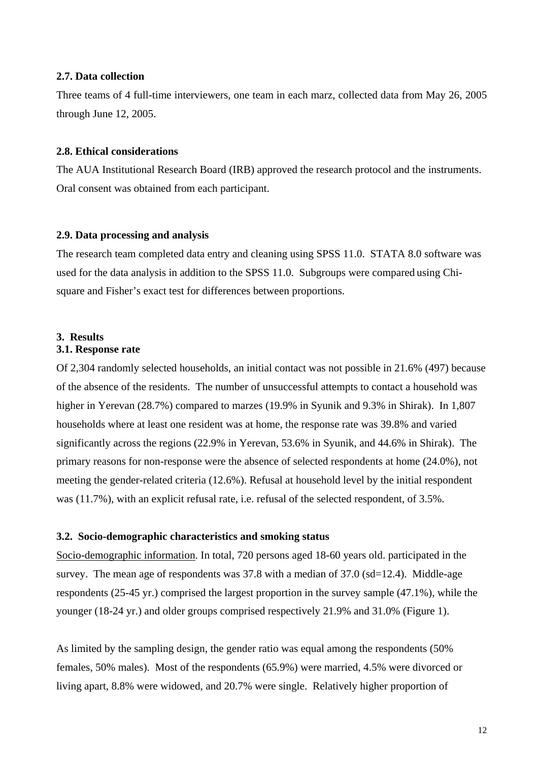#### <span id="page-12-0"></span>**2.7. Data collection**

Three teams of 4 full-time interviewers, one team in each marz, collected data from May 26, 2005 through June 12, 2005.

#### **2.8. Ethical considerations**

The AUA Institutional Research Board (IRB) approved the research protocol and the instruments. Oral consent was obtained from each participant.

#### **2.9. Data processing and analysis**

The research team completed data entry and cleaning using SPSS 11.0. STATA 8.0 software was used for the data analysis in addition to the SPSS 11.0. Subgroups were compared using Chisquare and Fisher's exact test for differences between proportions.

### **3. Results**

#### **3.1. Response rate**

Of 2,304 randomly selected households, an initial contact was not possible in 21.6% (497) because of the absence of the residents. The number of unsuccessful attempts to contact a household was higher in Yerevan (28.7%) compared to marzes (19.9% in Syunik and 9.3% in Shirak). In 1,807 households where at least one resident was at home, the response rate was 39.8% and varied significantly across the regions (22.9% in Yerevan, 53.6% in Syunik, and 44.6% in Shirak). The primary reasons for non-response were the absence of selected respondents at home (24.0%), not meeting the gender-related criteria (12.6%). Refusal at household level by the initial respondent was (11.7%), with an explicit refusal rate, i.e. refusal of the selected respondent, of 3.5%.

#### **3.2. Socio-demographic characteristics and smoking status**

Socio-demographic information. In total, 720 persons aged 18-60 years old. participated in the survey. The mean age of respondents was 37.8 with a median of 37.0 (sd=12.4). Middle-age respondents (25-45 yr.) comprised the largest proportion in the survey sample (47.1%), while the younger (18-24 yr.) and older groups comprised respectively 21.9% and 31.0% (Figure 1).

As limited by the sampling design, the gender ratio was equal among the respondents (50% females, 50% males). Most of the respondents (65.9%) were married, 4.5% were divorced or living apart, 8.8% were widowed, and 20.7% were single. Relatively higher proportion of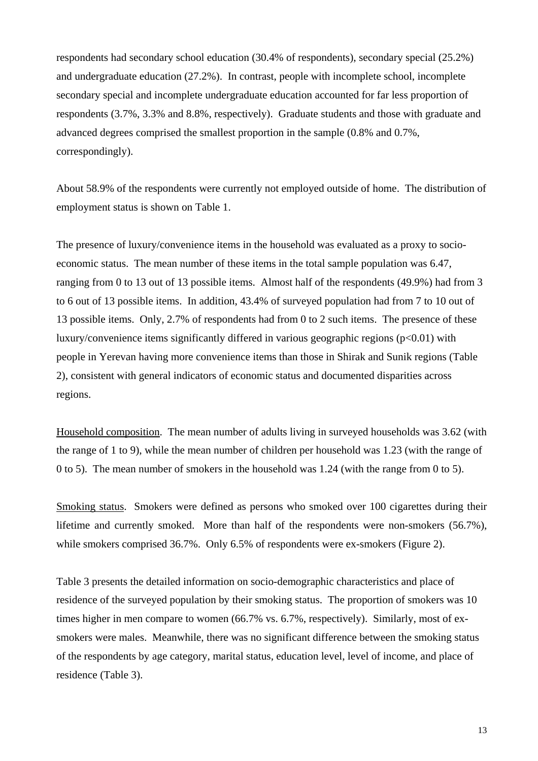respondents had secondary school education (30.4% of respondents), secondary special (25.2%) and undergraduate education (27.2%). In contrast, people with incomplete school, incomplete secondary special and incomplete undergraduate education accounted for far less proportion of respondents (3.7%, 3.3% and 8.8%, respectively). Graduate students and those with graduate and advanced degrees comprised the smallest proportion in the sample (0.8% and 0.7%, correspondingly).

About 58.9% of the respondents were currently not employed outside of home. The distribution of employment status is shown on Table 1.

The presence of luxury/convenience items in the household was evaluated as a proxy to socioeconomic status. The mean number of these items in the total sample population was 6.47, ranging from 0 to 13 out of 13 possible items. Almost half of the respondents (49.9%) had from 3 to 6 out of 13 possible items. In addition, 43.4% of surveyed population had from 7 to 10 out of 13 possible items. Only, 2.7% of respondents had from 0 to 2 such items. The presence of these luxury/convenience items significantly differed in various geographic regions  $(p<0.01)$  with people in Yerevan having more convenience items than those in Shirak and Sunik regions (Table 2), consistent with general indicators of economic status and documented disparities across regions.

Household composition. The mean number of adults living in surveyed households was 3.62 (with the range of 1 to 9), while the mean number of children per household was 1.23 (with the range of 0 to 5). The mean number of smokers in the household was 1.24 (with the range from 0 to 5).

Smoking status. Smokers were defined as persons who smoked over 100 cigarettes during their lifetime and currently smoked. More than half of the respondents were non-smokers (56.7%), while smokers comprised 36.7%. Only 6.5% of respondents were ex-smokers (Figure 2).

Table 3 presents the detailed information on socio-demographic characteristics and place of residence of the surveyed population by their smoking status. The proportion of smokers was 10 times higher in men compare to women (66.7% vs. 6.7%, respectively). Similarly, most of exsmokers were males. Meanwhile, there was no significant difference between the smoking status of the respondents by age category, marital status, education level, level of income, and place of residence (Table 3).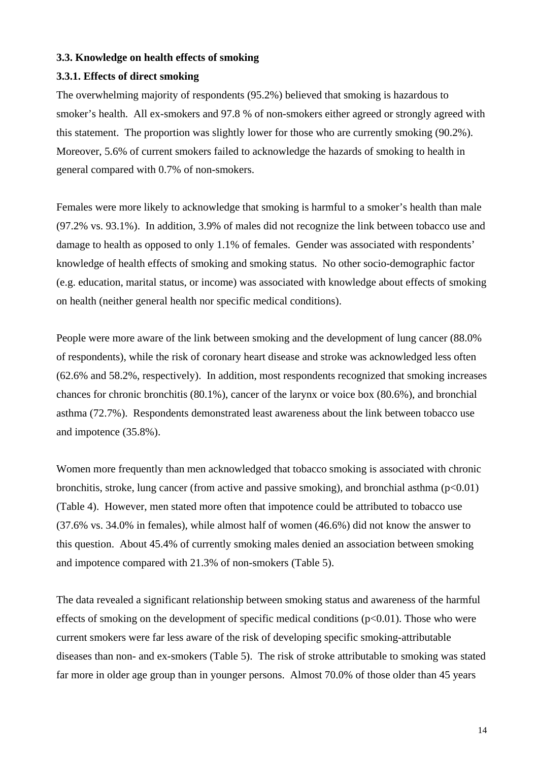#### <span id="page-14-0"></span>**3.3. Knowledge on health effects of smoking**

#### **3.3.1. Effects of direct smoking**

The overwhelming majority of respondents (95.2%) believed that smoking is hazardous to smoker's health. All ex-smokers and 97.8 % of non-smokers either agreed or strongly agreed with this statement. The proportion was slightly lower for those who are currently smoking (90.2%). Moreover, 5.6% of current smokers failed to acknowledge the hazards of smoking to health in general compared with 0.7% of non-smokers.

Females were more likely to acknowledge that smoking is harmful to a smoker's health than male (97.2% vs. 93.1%). In addition, 3.9% of males did not recognize the link between tobacco use and damage to health as opposed to only 1.1% of females. Gender was associated with respondents' knowledge of health effects of smoking and smoking status. No other socio-demographic factor (e.g. education, marital status, or income) was associated with knowledge about effects of smoking on health (neither general health nor specific medical conditions).

People were more aware of the link between smoking and the development of lung cancer (88.0% of respondents), while the risk of coronary heart disease and stroke was acknowledged less often (62.6% and 58.2%, respectively). In addition, most respondents recognized that smoking increases chances for chronic bronchitis (80.1%), cancer of the larynx or voice box (80.6%), and bronchial asthma (72.7%). Respondents demonstrated least awareness about the link between tobacco use and impotence (35.8%).

Women more frequently than men acknowledged that tobacco smoking is associated with chronic bronchitis, stroke, lung cancer (from active and passive smoking), and bronchial asthma  $(p<0.01)$ (Table 4). However, men stated more often that impotence could be attributed to tobacco use (37.6% vs. 34.0% in females), while almost half of women (46.6%) did not know the answer to this question. About 45.4% of currently smoking males denied an association between smoking and impotence compared with 21.3% of non-smokers (Table 5).

The data revealed a significant relationship between smoking status and awareness of the harmful effects of smoking on the development of specific medical conditions  $(p<0.01)$ . Those who were current smokers were far less aware of the risk of developing specific smoking-attributable diseases than non- and ex-smokers (Table 5). The risk of stroke attributable to smoking was stated far more in older age group than in younger persons. Almost 70.0% of those older than 45 years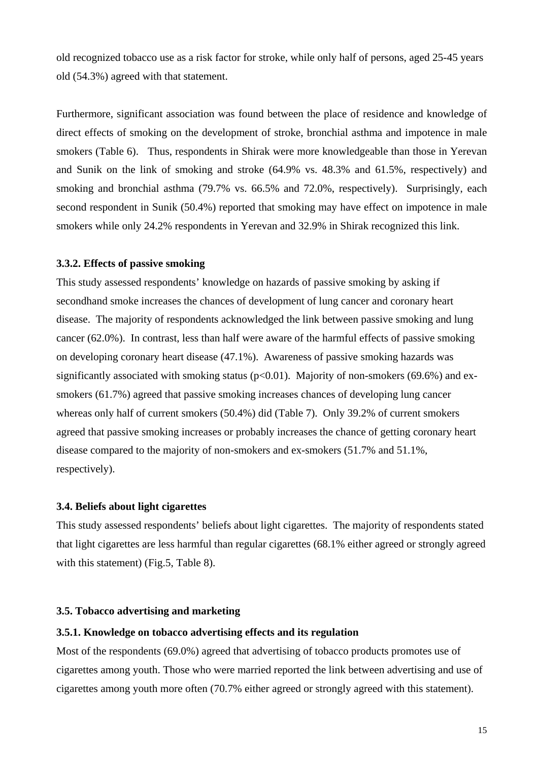<span id="page-15-0"></span>old recognized tobacco use as a risk factor for stroke, while only half of persons, aged 25-45 years old (54.3%) agreed with that statement.

Furthermore, significant association was found between the place of residence and knowledge of direct effects of smoking on the development of stroke, bronchial asthma and impotence in male smokers (Table 6). Thus, respondents in Shirak were more knowledgeable than those in Yerevan and Sunik on the link of smoking and stroke (64.9% vs. 48.3% and 61.5%, respectively) and smoking and bronchial asthma (79.7% vs. 66.5% and 72.0%, respectively). Surprisingly, each second respondent in Sunik (50.4%) reported that smoking may have effect on impotence in male smokers while only 24.2% respondents in Yerevan and 32.9% in Shirak recognized this link.

#### **3.3.2. Effects of passive smoking**

This study assessed respondents' knowledge on hazards of passive smoking by asking if secondhand smoke increases the chances of development of lung cancer and coronary heart disease. The majority of respondents acknowledged the link between passive smoking and lung cancer (62.0%). In contrast, less than half were aware of the harmful effects of passive smoking on developing coronary heart disease (47.1%). Awareness of passive smoking hazards was significantly associated with smoking status ( $p<0.01$ ). Majority of non-smokers (69.6%) and exsmokers (61.7%) agreed that passive smoking increases chances of developing lung cancer whereas only half of current smokers (50.4%) did (Table 7). Only 39.2% of current smokers agreed that passive smoking increases or probably increases the chance of getting coronary heart disease compared to the majority of non-smokers and ex-smokers (51.7% and 51.1%, respectively).

#### **3.4. Beliefs about light cigarettes**

This study assessed respondents' beliefs about light cigarettes. The majority of respondents stated that light cigarettes are less harmful than regular cigarettes (68.1% either agreed or strongly agreed with this statement) (Fig. 5, Table 8).

#### **3.5. Tobacco advertising and marketing**

#### **3.5.1. Knowledge on tobacco advertising effects and its regulation**

Most of the respondents (69.0%) agreed that advertising of tobacco products promotes use of cigarettes among youth. Those who were married reported the link between advertising and use of cigarettes among youth more often (70.7% either agreed or strongly agreed with this statement).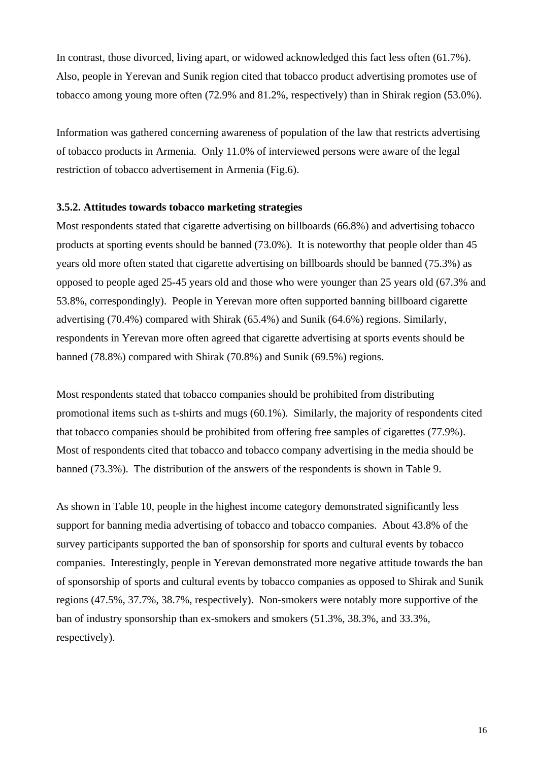<span id="page-16-0"></span>In contrast, those divorced, living apart, or widowed acknowledged this fact less often (61.7%). Also, people in Yerevan and Sunik region cited that tobacco product advertising promotes use of tobacco among young more often (72.9% and 81.2%, respectively) than in Shirak region (53.0%).

Information was gathered concerning awareness of population of the law that restricts advertising of tobacco products in Armenia. Only 11.0% of interviewed persons were aware of the legal restriction of tobacco advertisement in Armenia (Fig.6).

#### **3.5.2. Attitudes towards tobacco marketing strategies**

Most respondents stated that cigarette advertising on billboards (66.8%) and advertising tobacco products at sporting events should be banned (73.0%). It is noteworthy that people older than 45 years old more often stated that cigarette advertising on billboards should be banned (75.3%) as opposed to people aged 25-45 years old and those who were younger than 25 years old (67.3% and 53.8%, correspondingly). People in Yerevan more often supported banning billboard cigarette advertising (70.4%) compared with Shirak (65.4%) and Sunik (64.6%) regions. Similarly, respondents in Yerevan more often agreed that cigarette advertising at sports events should be banned (78.8%) compared with Shirak (70.8%) and Sunik (69.5%) regions.

Most respondents stated that tobacco companies should be prohibited from distributing promotional items such as t-shirts and mugs (60.1%). Similarly, the majority of respondents cited that tobacco companies should be prohibited from offering free samples of cigarettes (77.9%). Most of respondents cited that tobacco and tobacco company advertising in the media should be banned (73.3%). The distribution of the answers of the respondents is shown in Table 9.

As shown in Table 10, people in the highest income category demonstrated significantly less support for banning media advertising of tobacco and tobacco companies. About 43.8% of the survey participants supported the ban of sponsorship for sports and cultural events by tobacco companies. Interestingly, people in Yerevan demonstrated more negative attitude towards the ban of sponsorship of sports and cultural events by tobacco companies as opposed to Shirak and Sunik regions (47.5%, 37.7%, 38.7%, respectively). Non-smokers were notably more supportive of the ban of industry sponsorship than ex-smokers and smokers (51.3%, 38.3%, and 33.3%, respectively).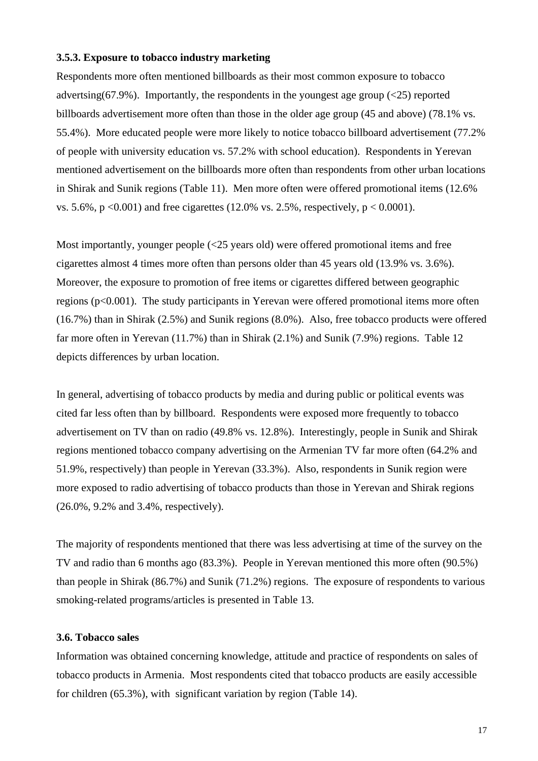#### <span id="page-17-0"></span>**3.5.3. Exposure to tobacco industry marketing**

Respondents more often mentioned billboards as their most common exposure to tobacco advertsing(67.9%). Importantly, the respondents in the youngest age group  $(\leq 25)$  reported billboards advertisement more often than those in the older age group (45 and above) (78.1% vs. 55.4%). More educated people were more likely to notice tobacco billboard advertisement (77.2% of people with university education vs. 57.2% with school education). Respondents in Yerevan mentioned advertisement on the billboards more often than respondents from other urban locations in Shirak and Sunik regions (Table 11). Men more often were offered promotional items (12.6% vs. 5.6%,  $p \le 0.001$ ) and free cigarettes (12.0% vs. 2.5%, respectively,  $p \le 0.0001$ ).

Most importantly, younger people (<25 years old) were offered promotional items and free cigarettes almost 4 times more often than persons older than 45 years old (13.9% vs. 3.6%). Moreover, the exposure to promotion of free items or cigarettes differed between geographic regions (p<0.001). The study participants in Yerevan were offered promotional items more often (16.7%) than in Shirak (2.5%) and Sunik regions (8.0%). Also, free tobacco products were offered far more often in Yerevan (11.7%) than in Shirak (2.1%) and Sunik (7.9%) regions. Table 12 depicts differences by urban location.

In general, advertising of tobacco products by media and during public or political events was cited far less often than by billboard. Respondents were exposed more frequently to tobacco advertisement on TV than on radio (49.8% vs. 12.8%). Interestingly, people in Sunik and Shirak regions mentioned tobacco company advertising on the Armenian TV far more often (64.2% and 51.9%, respectively) than people in Yerevan (33.3%). Also, respondents in Sunik region were more exposed to radio advertising of tobacco products than those in Yerevan and Shirak regions (26.0%, 9.2% and 3.4%, respectively).

The majority of respondents mentioned that there was less advertising at time of the survey on the TV and radio than 6 months ago (83.3%). People in Yerevan mentioned this more often (90.5%) than people in Shirak (86.7%) and Sunik (71.2%) regions. The exposure of respondents to various smoking-related programs/articles is presented in Table 13.

### **3.6. Tobacco sales**

Information was obtained concerning knowledge, attitude and practice of respondents on sales of tobacco products in Armenia. Most respondents cited that tobacco products are easily accessible for children (65.3%), with significant variation by region (Table 14).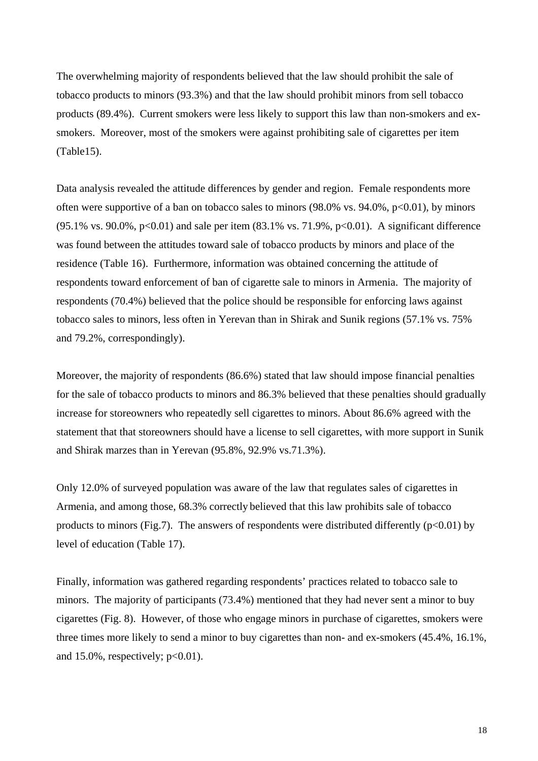The overwhelming majority of respondents believed that the law should prohibit the sale of tobacco products to minors (93.3%) and that the law should prohibit minors from sell tobacco products (89.4%). Current smokers were less likely to support this law than non-smokers and exsmokers. Moreover, most of the smokers were against prohibiting sale of cigarettes per item (Table15).

Data analysis revealed the attitude differences by gender and region. Female respondents more often were supportive of a ban on tobacco sales to minors  $(98.0\% \text{ vs. } 94.0\%, \text{ p} < 0.01)$ , by minors  $(95.1\% \text{ vs. } 90.0\%, \text{ p} < 0.01)$  and sale per item  $(83.1\% \text{ vs. } 71.9\%, \text{ p} < 0.01)$ . A significant difference was found between the attitudes toward sale of tobacco products by minors and place of the residence (Table 16). Furthermore, information was obtained concerning the attitude of respondents toward enforcement of ban of cigarette sale to minors in Armenia. The majority of respondents (70.4%) believed that the police should be responsible for enforcing laws against tobacco sales to minors, less often in Yerevan than in Shirak and Sunik regions (57.1% vs. 75% and 79.2%, correspondingly).

Moreover, the majority of respondents (86.6%) stated that law should impose financial penalties for the sale of tobacco products to minors and 86.3% believed that these penalties should gradually increase for storeowners who repeatedly sell cigarettes to minors. About 86.6% agreed with the statement that that storeowners should have a license to sell cigarettes, with more support in Sunik and Shirak marzes than in Yerevan (95.8%, 92.9% vs.71.3%).

Only 12.0% of surveyed population was aware of the law that regulates sales of cigarettes in Armenia, and among those, 68.3% correctly believed that this law prohibits sale of tobacco products to minors (Fig.7). The answers of respondents were distributed differently ( $p<0.01$ ) by level of education (Table 17).

Finally, information was gathered regarding respondents' practices related to tobacco sale to minors. The majority of participants (73.4%) mentioned that they had never sent a minor to buy cigarettes (Fig. 8). However, of those who engage minors in purchase of cigarettes, smokers were three times more likely to send a minor to buy cigarettes than non- and ex-smokers (45.4%, 16.1%, and  $15.0\%$ , respectively;  $p<0.01$ ).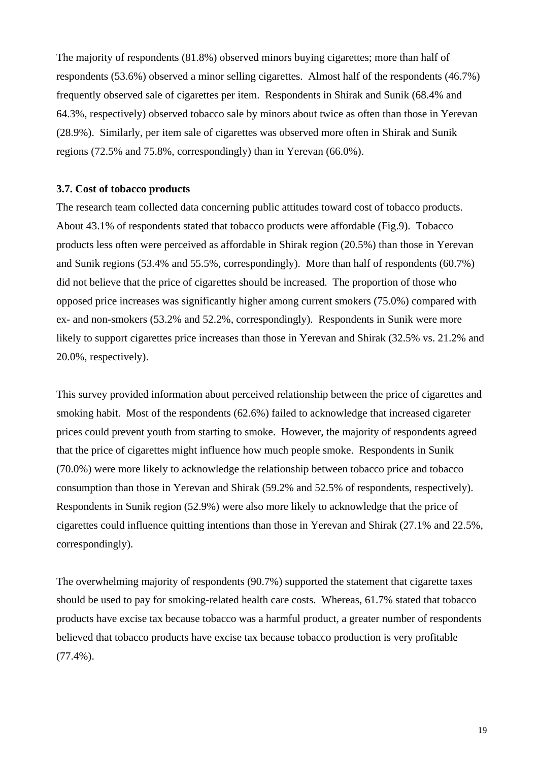<span id="page-19-0"></span>The majority of respondents (81.8%) observed minors buying cigarettes; more than half of respondents (53.6%) observed a minor selling cigarettes. Almost half of the respondents (46.7%) frequently observed sale of cigarettes per item. Respondents in Shirak and Sunik (68.4% and 64.3%, respectively) observed tobacco sale by minors about twice as often than those in Yerevan (28.9%). Similarly, per item sale of cigarettes was observed more often in Shirak and Sunik regions (72.5% and 75.8%, correspondingly) than in Yerevan (66.0%).

#### **3.7. Cost of tobacco products**

The research team collected data concerning public attitudes toward cost of tobacco products. About 43.1% of respondents stated that tobacco products were affordable (Fig.9). Tobacco products less often were perceived as affordable in Shirak region (20.5%) than those in Yerevan and Sunik regions (53.4% and 55.5%, correspondingly). More than half of respondents (60.7%) did not believe that the price of cigarettes should be increased. The proportion of those who opposed price increases was significantly higher among current smokers (75.0%) compared with ex- and non-smokers (53.2% and 52.2%, correspondingly). Respondents in Sunik were more likely to support cigarettes price increases than those in Yerevan and Shirak (32.5% vs. 21.2% and 20.0%, respectively).

This survey provided information about perceived relationship between the price of cigarettes and smoking habit. Most of the respondents (62.6%) failed to acknowledge that increased cigareter prices could prevent youth from starting to smoke. However, the majority of respondents agreed that the price of cigarettes might influence how much people smoke. Respondents in Sunik (70.0%) were more likely to acknowledge the relationship between tobacco price and tobacco consumption than those in Yerevan and Shirak (59.2% and 52.5% of respondents, respectively). Respondents in Sunik region (52.9%) were also more likely to acknowledge that the price of cigarettes could influence quitting intentions than those in Yerevan and Shirak (27.1% and 22.5%, correspondingly).

The overwhelming majority of respondents (90.7%) supported the statement that cigarette taxes should be used to pay for smoking-related health care costs. Whereas, 61.7% stated that tobacco products have excise tax because tobacco was a harmful product, a greater number of respondents believed that tobacco products have excise tax because tobacco production is very profitable (77.4%).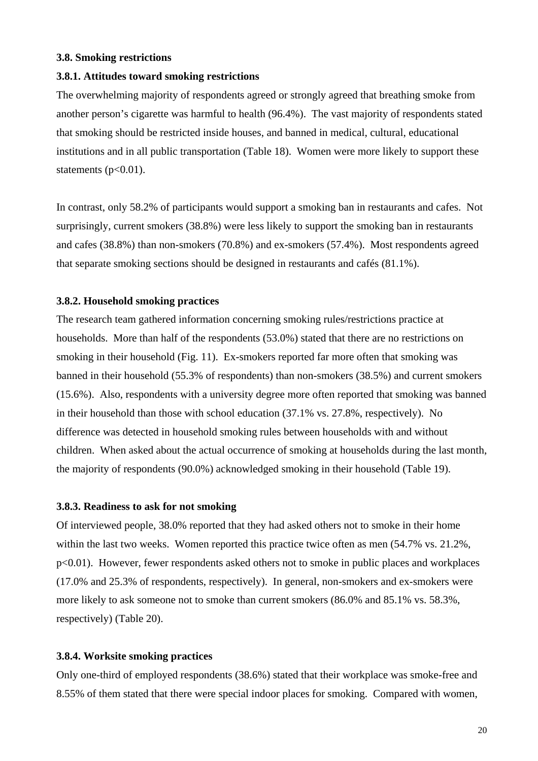#### <span id="page-20-0"></span>**3.8. Smoking restrictions**

#### **3.8.1. Attitudes toward smoking restrictions**

The overwhelming majority of respondents agreed or strongly agreed that breathing smoke from another person's cigarette was harmful to health (96.4%). The vast majority of respondents stated that smoking should be restricted inside houses, and banned in medical, cultural, educational institutions and in all public transportation (Table 18). Women were more likely to support these statements  $(p<0.01)$ .

In contrast, only 58.2% of participants would support a smoking ban in restaurants and cafes. Not surprisingly, current smokers (38.8%) were less likely to support the smoking ban in restaurants and cafes (38.8%) than non-smokers (70.8%) and ex-smokers (57.4%). Most respondents agreed that separate smoking sections should be designed in restaurants and cafés (81.1%).

#### **3.8.2. Household smoking practices**

The research team gathered information concerning smoking rules/restrictions practice at households. More than half of the respondents (53.0%) stated that there are no restrictions on smoking in their household (Fig. 11). Ex-smokers reported far more often that smoking was banned in their household (55.3% of respondents) than non-smokers (38.5%) and current smokers (15.6%). Also, respondents with a university degree more often reported that smoking was banned in their household than those with school education (37.1% vs. 27.8%, respectively). No difference was detected in household smoking rules between households with and without children. When asked about the actual occurrence of smoking at households during the last month, the majority of respondents (90.0%) acknowledged smoking in their household (Table 19).

#### **3.8.3. Readiness to ask for not smoking**

Of interviewed people, 38.0% reported that they had asked others not to smoke in their home within the last two weeks. Women reported this practice twice often as men (54.7% vs. 21.2%, p<0.01). However, fewer respondents asked others not to smoke in public places and workplaces (17.0% and 25.3% of respondents, respectively). In general, non-smokers and ex-smokers were more likely to ask someone not to smoke than current smokers (86.0% and 85.1% vs. 58.3%, respectively) (Table 20).

#### **3.8.4. Worksite smoking practices**

Only one-third of employed respondents (38.6%) stated that their workplace was smoke-free and 8.55% of them stated that there were special indoor places for smoking. Compared with women,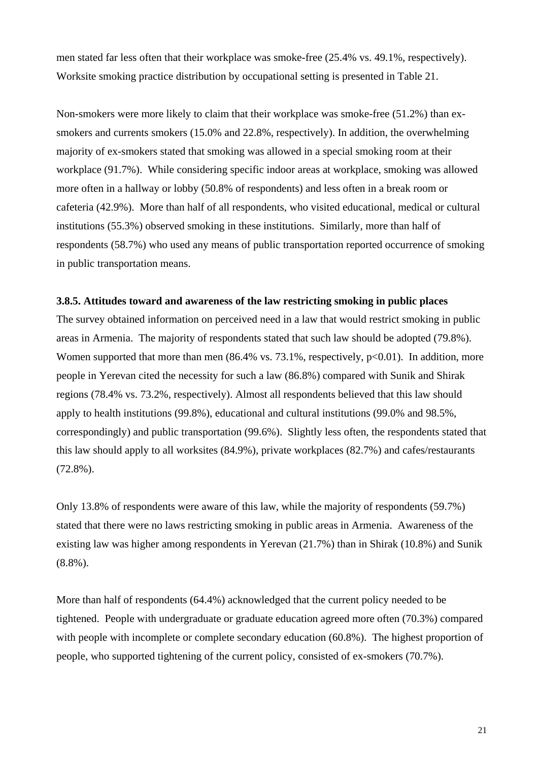<span id="page-21-0"></span>men stated far less often that their workplace was smoke-free (25.4% vs. 49.1%, respectively). Worksite smoking practice distribution by occupational setting is presented in Table 21.

Non-smokers were more likely to claim that their workplace was smoke-free (51.2%) than exsmokers and currents smokers (15.0% and 22.8%, respectively). In addition, the overwhelming majority of ex-smokers stated that smoking was allowed in a special smoking room at their workplace (91.7%). While considering specific indoor areas at workplace, smoking was allowed more often in a hallway or lobby (50.8% of respondents) and less often in a break room or cafeteria (42.9%). More than half of all respondents, who visited educational, medical or cultural institutions (55.3%) observed smoking in these institutions. Similarly, more than half of respondents (58.7%) who used any means of public transportation reported occurrence of smoking in public transportation means.

#### **3.8.5. Attitudes toward and awareness of the law restricting smoking in public places**

The survey obtained information on perceived need in a law that would restrict smoking in public areas in Armenia. The majority of respondents stated that such law should be adopted (79.8%). Women supported that more than men  $(86.4\%$  vs. 73.1%, respectively,  $p<0.01$ ). In addition, more people in Yerevan cited the necessity for such a law (86.8%) compared with Sunik and Shirak regions (78.4% vs. 73.2%, respectively). Almost all respondents believed that this law should apply to health institutions (99.8%), educational and cultural institutions (99.0% and 98.5%, correspondingly) and public transportation (99.6%). Slightly less often, the respondents stated that this law should apply to all worksites (84.9%), private workplaces (82.7%) and cafes/restaurants (72.8%).

Only 13.8% of respondents were aware of this law, while the majority of respondents (59.7%) stated that there were no laws restricting smoking in public areas in Armenia. Awareness of the existing law was higher among respondents in Yerevan (21.7%) than in Shirak (10.8%) and Sunik (8.8%).

More than half of respondents (64.4%) acknowledged that the current policy needed to be tightened. People with undergraduate or graduate education agreed more often (70.3%) compared with people with incomplete or complete secondary education (60.8%). The highest proportion of people, who supported tightening of the current policy, consisted of ex-smokers (70.7%).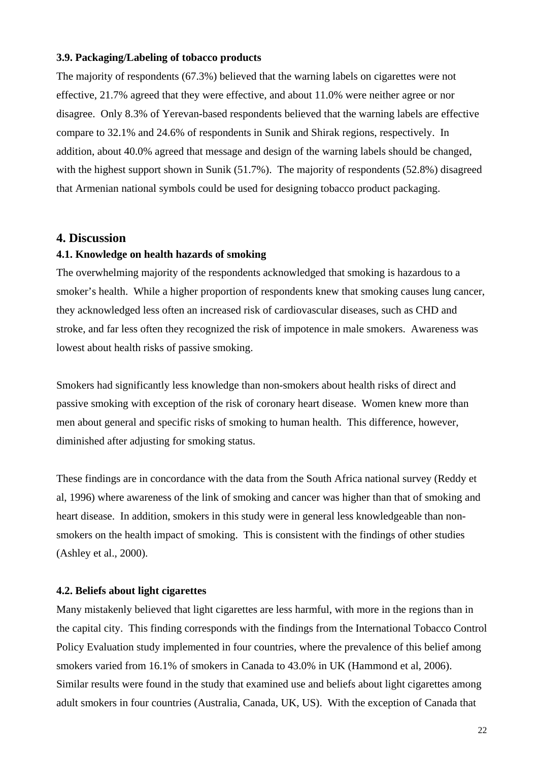#### <span id="page-22-0"></span>**3.9. Packaging/Labeling of tobacco products**

The majority of respondents (67.3%) believed that the warning labels on cigarettes were not effective, 21.7% agreed that they were effective, and about 11.0% were neither agree or nor disagree. Only 8.3% of Yerevan-based respondents believed that the warning labels are effective compare to 32.1% and 24.6% of respondents in Sunik and Shirak regions, respectively. In addition, about 40.0% agreed that message and design of the warning labels should be changed, with the highest support shown in Sunik (51.7%). The majority of respondents (52.8%) disagreed that Armenian national symbols could be used for designing tobacco product packaging.

#### **4. Discussion**

#### **4.1. Knowledge on health hazards of smoking**

The overwhelming majority of the respondents acknowledged that smoking is hazardous to a smoker's health. While a higher proportion of respondents knew that smoking causes lung cancer, they acknowledged less often an increased risk of cardiovascular diseases, such as CHD and stroke, and far less often they recognized the risk of impotence in male smokers. Awareness was lowest about health risks of passive smoking.

Smokers had significantly less knowledge than non-smokers about health risks of direct and passive smoking with exception of the risk of coronary heart disease. Women knew more than men about general and specific risks of smoking to human health. This difference, however, diminished after adjusting for smoking status.

These findings are in concordance with the data from the South Africa national survey (Reddy et al, 1996) where awareness of the link of smoking and cancer was higher than that of smoking and heart disease. In addition, smokers in this study were in general less knowledgeable than nonsmokers on the health impact of smoking. This is consistent with the findings of other studies (Ashley et al., 2000).

#### **4.2. Beliefs about light cigarettes**

Many mistakenly believed that light cigarettes are less harmful, with more in the regions than in the capital city. This finding corresponds with the findings from the International Tobacco Control Policy Evaluation study implemented in four countries, where the prevalence of this belief among smokers varied from 16.1% of smokers in Canada to 43.0% in UK (Hammond et al, 2006). Similar results were found in the study that examined use and beliefs about light cigarettes among adult smokers in four countries (Australia, Canada, UK, US). With the exception of Canada that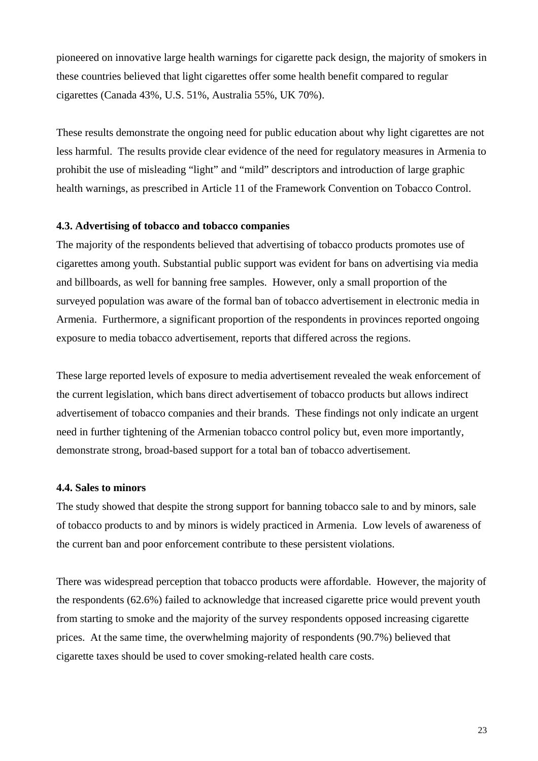<span id="page-23-0"></span>pioneered on innovative large health warnings for cigarette pack design, the majority of smokers in these countries believed that light cigarettes offer some health benefit compared to regular cigarettes (Canada 43%, U.S. 51%, Australia 55%, UK 70%).

These results demonstrate the ongoing need for public education about why light cigarettes are not less harmful. The results provide clear evidence of the need for regulatory measures in Armenia to prohibit the use of misleading "light" and "mild" descriptors and introduction of large graphic health warnings, as prescribed in Article 11 of the Framework Convention on Tobacco Control.

#### **4.3. Advertising of tobacco and tobacco companies**

The majority of the respondents believed that advertising of tobacco products promotes use of cigarettes among youth. Substantial public support was evident for bans on advertising via media and billboards, as well for banning free samples. However, only a small proportion of the surveyed population was aware of the formal ban of tobacco advertisement in electronic media in Armenia. Furthermore, a significant proportion of the respondents in provinces reported ongoing exposure to media tobacco advertisement, reports that differed across the regions.

These large reported levels of exposure to media advertisement revealed the weak enforcement of the current legislation, which bans direct advertisement of tobacco products but allows indirect advertisement of tobacco companies and their brands. These findings not only indicate an urgent need in further tightening of the Armenian tobacco control policy but, even more importantly, demonstrate strong, broad-based support for a total ban of tobacco advertisement.

#### **4.4. Sales to minors**

The study showed that despite the strong support for banning tobacco sale to and by minors, sale of tobacco products to and by minors is widely practiced in Armenia. Low levels of awareness of the current ban and poor enforcement contribute to these persistent violations.

There was widespread perception that tobacco products were affordable. However, the majority of the respondents (62.6%) failed to acknowledge that increased cigarette price would prevent youth from starting to smoke and the majority of the survey respondents opposed increasing cigarette prices. At the same time, the overwhelming majority of respondents (90.7%) believed that cigarette taxes should be used to cover smoking-related health care costs.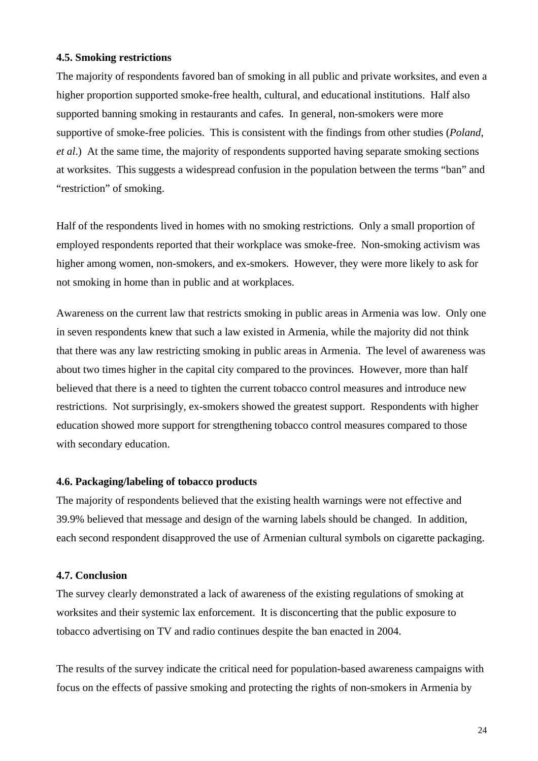#### <span id="page-24-0"></span>**4.5. Smoking restrictions**

The majority of respondents favored ban of smoking in all public and private worksites, and even a higher proportion supported smoke-free health, cultural, and educational institutions. Half also supported banning smoking in restaurants and cafes. In general, non-smokers were more supportive of smoke-free policies. This is consistent with the findings from other studies (*Poland, et al*.) At the same time, the majority of respondents supported having separate smoking sections at worksites. This suggests a widespread confusion in the population between the terms "ban" and "restriction" of smoking.

Half of the respondents lived in homes with no smoking restrictions. Only a small proportion of employed respondents reported that their workplace was smoke-free. Non-smoking activism was higher among women, non-smokers, and ex-smokers. However, they were more likely to ask for not smoking in home than in public and at workplaces.

Awareness on the current law that restricts smoking in public areas in Armenia was low. Only one in seven respondents knew that such a law existed in Armenia, while the majority did not think that there was any law restricting smoking in public areas in Armenia. The level of awareness was about two times higher in the capital city compared to the provinces. However, more than half believed that there is a need to tighten the current tobacco control measures and introduce new restrictions. Not surprisingly, ex-smokers showed the greatest support. Respondents with higher education showed more support for strengthening tobacco control measures compared to those with secondary education.

#### **4.6. Packaging/labeling of tobacco products**

The majority of respondents believed that the existing health warnings were not effective and 39.9% believed that message and design of the warning labels should be changed. In addition, each second respondent disapproved the use of Armenian cultural symbols on cigarette packaging.

#### **4.7. Conclusion**

The survey clearly demonstrated a lack of awareness of the existing regulations of smoking at worksites and their systemic lax enforcement. It is disconcerting that the public exposure to tobacco advertising on TV and radio continues despite the ban enacted in 2004.

The results of the survey indicate the critical need for population-based awareness campaigns with focus on the effects of passive smoking and protecting the rights of non-smokers in Armenia by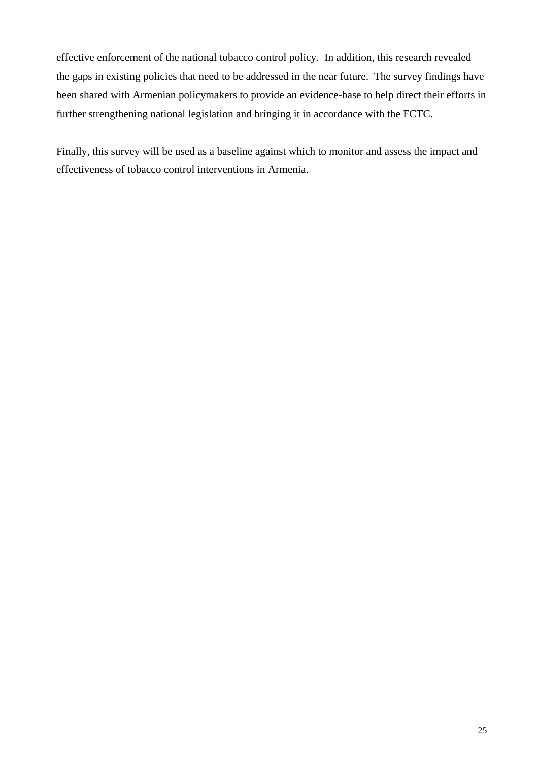effective enforcement of the national tobacco control policy. In addition, this research revealed the gaps in existing policies that need to be addressed in the near future. The survey findings have been shared with Armenian policymakers to provide an evidence-base to help direct their efforts in further strengthening national legislation and bringing it in accordance with the FCTC.

Finally, this survey will be used as a baseline against which to monitor and assess the impact and effectiveness of tobacco control interventions in Armenia.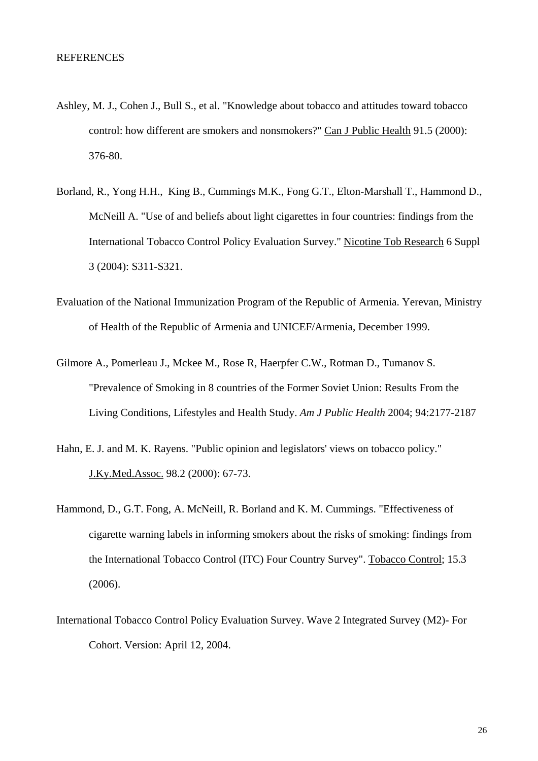- Ashley, M. J., Cohen J., Bull S., et al. "Knowledge about tobacco and attitudes toward tobacco control: how different are smokers and nonsmokers?" Can J Public Health 91.5 (2000): 376-80.
- Borland, R., Yong H.H., King B., Cummings M.K., Fong G.T., Elton-Marshall T., Hammond D., McNeill A. "Use of and beliefs about light cigarettes in four countries: findings from the International Tobacco Control Policy Evaluation Survey." Nicotine Tob Research 6 Suppl 3 (2004): S311-S321.
- Evaluation of the National Immunization Program of the Republic of Armenia. Yerevan, Ministry of Health of the Republic of Armenia and UNICEF/Armenia, December 1999.
- Gilmore A., Pomerleau J., Mckee M., Rose R, Haerpfer C.W., Rotman D., Tumanov S. "Prevalence of Smoking in 8 countries of the Former Soviet Union: Results From the Living Conditions, Lifestyles and Health Study. *Am J Public Health* 2004; 94:2177-2187
- Hahn, E. J. and M. K. Rayens. "Public opinion and legislators' views on tobacco policy." J.Ky.Med.Assoc. 98.2 (2000): 67-73.
- Hammond, D., G.T. Fong, A. McNeill, R. Borland and K. M. Cummings. "Effectiveness of cigarette warning labels in informing smokers about the risks of smoking: findings from the International Tobacco Control (ITC) Four Country Survey". Tobacco Control; 15.3 (2006).
- International Tobacco Control Policy Evaluation Survey. Wave 2 Integrated Survey (M2)- For Cohort. Version: April 12, 2004.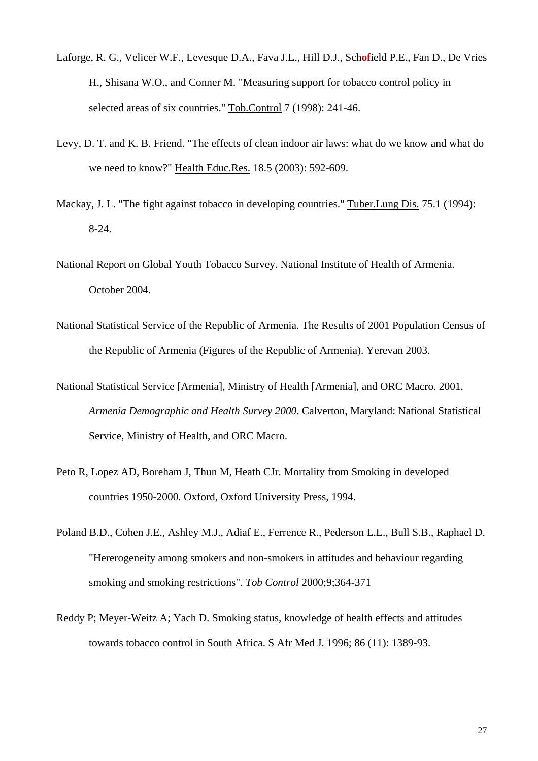- Laforge, R. G., Velicer W.F., Levesque D.A., Fava J.L., Hill D.J., Sch**of**ield P.E., Fan D., De Vries H., Shisana W.O., and Conner M. "Measuring support for tobacco control policy in selected areas of six countries." Tob.Control 7 (1998): 241-46.
- Levy, D. T. and K. B. Friend. "The effects of clean indoor air laws: what do we know and what do we need to know?" Health Educ.Res. 18.5 (2003): 592-609.
- Mackay, J. L. "The fight against tobacco in developing countries." Tuber.Lung Dis. 75.1 (1994): 8-24.
- National Report on Global Youth Tobacco Survey. National Institute of Health of Armenia. October 2004.
- National Statistical Service of the Republic of Armenia. The Results of 2001 Population Census of the Republic of Armenia (Figures of the Republic of Armenia). Yerevan 2003.
- National Statistical Service [Armenia], Ministry of Health [Armenia], and ORC Macro. 2001. *Armenia Demographic and Health Survey 2000*. Calverton, Maryland: National Statistical Service, Ministry of Health, and ORC Macro.
- Peto R, Lopez AD, Boreham J, Thun M, Heath CJr. Mortality from Smoking in developed countries 1950-2000. Oxford, Oxford University Press, 1994.
- Poland B.D., Cohen J.E., Ashley M.J., Adiaf E., Ferrence R., Pederson L.L., Bull S.B., Raphael D. "Hererogeneity among smokers and non-smokers in attitudes and behaviour regarding smoking and smoking restrictions". *Tob Control* 2000;9;364-371
- Reddy P; Meyer-Weitz A; Yach D. Smoking status, knowledge of health effects and attitudes towards tobacco control in South Africa. S Afr Med J. 1996; 86 (11): 1389-93.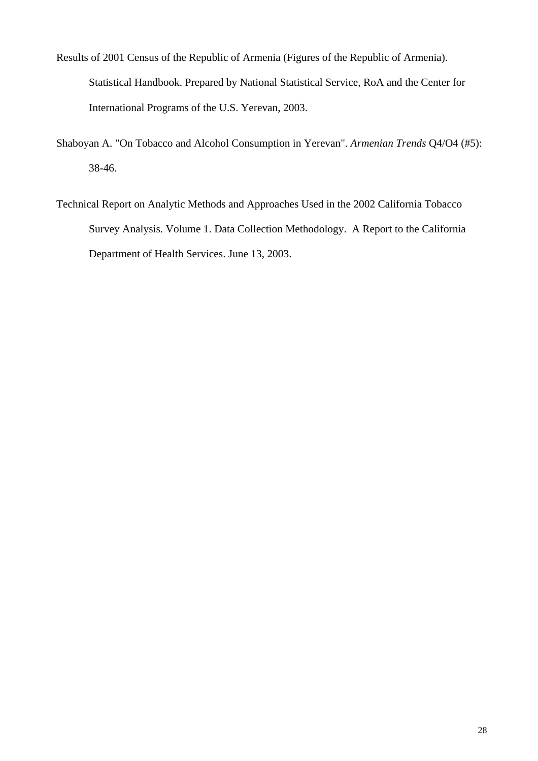- Results of 2001 Census of the Republic of Armenia (Figures of the Republic of Armenia). Statistical Handbook. Prepared by National Statistical Service, RoA and the Center for International Programs of the U.S. Yerevan, 2003.
- Shaboyan A. "On Tobacco and Alcohol Consumption in Yerevan". *Armenian Trends* Q4/O4 (#5): 38-46.
- Technical Report on Analytic Methods and Approaches Used in the 2002 California Tobacco Survey Analysis. Volume 1. Data Collection Methodology. A Report to the California Department of Health Services. June 13, 2003.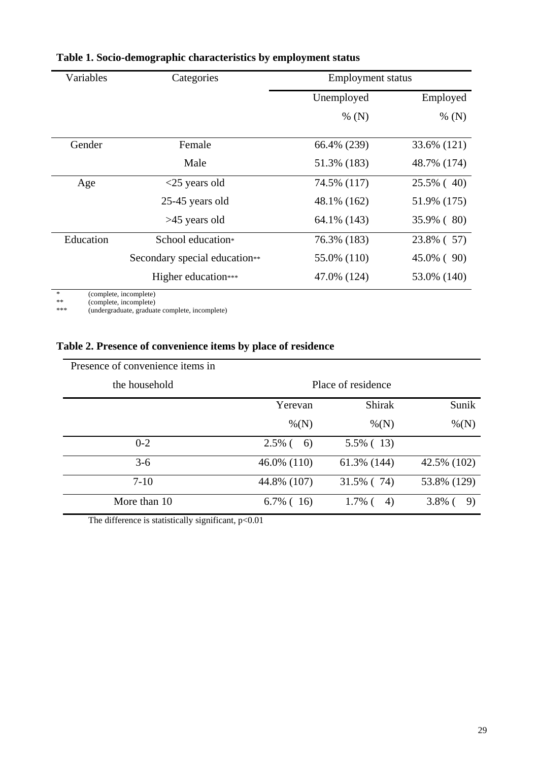| Variables | Categories                    |             | <b>Employment status</b> |  |
|-----------|-------------------------------|-------------|--------------------------|--|
|           |                               | Unemployed  | Employed                 |  |
|           |                               | % $(N)$     | % $(N)$                  |  |
| Gender    | Female                        | 66.4% (239) | 33.6% (121)              |  |
|           | Male                          | 51.3% (183) | 48.7% (174)              |  |
| Age       | $<$ 25 years old              | 74.5% (117) | 25.5% (40)               |  |
|           | 25-45 years old               | 48.1% (162) | 51.9% (175)              |  |
|           | $>45$ years old               | 64.1% (143) | 35.9% (80)               |  |
| Education | School education*             | 76.3% (183) | 23.8% (57)               |  |
|           | Secondary special education** | 55.0% (110) | 45.0% (90)               |  |
|           | Higher education***           | 47.0% (124) | 53.0% (140)              |  |

## **Table 1. Socio-demographic characteristics by employment status**

\*\* (complete, incomplete)

\*\*\* (undergraduate, graduate complete, incomplete)

## **Table 2. Presence of convenience items by place of residence**

| Presence of convenience items in |                 |                    |                 |
|----------------------------------|-----------------|--------------------|-----------------|
| the household                    |                 | Place of residence |                 |
|                                  | Yerevan         | <b>Shirak</b>      | Sunik           |
|                                  | $\% (N)$        | $\% (N)$           | $\% (N)$        |
| $0 - 2$                          | $2.5\%$ (<br>6) | $5.5\%$ (13)       |                 |
| $3-6$                            | 46.0% (110)     | 61.3% (144)        | 42.5% (102)     |
| $7-10$                           | 44.8% (107)     | 31.5% (74)         | 53.8% (129)     |
| More than 10                     | $6.7\%$ (16)    | $1.7\%$ (<br>4)    | $3.8\%$ (<br>9) |

The difference is statistically significant, p<0.01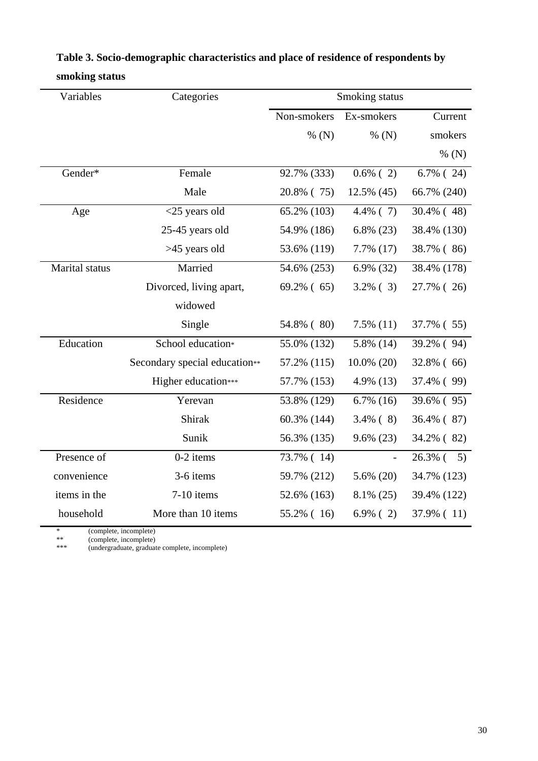| Variables      | Categories                    |               | Smoking status |               |
|----------------|-------------------------------|---------------|----------------|---------------|
|                |                               | Non-smokers   | Ex-smokers     | Current       |
|                |                               | % $(N)$       | % $(N)$        | smokers       |
|                |                               |               |                | % $(N)$       |
| Gender*        | Female                        | 92.7% (333)   | $0.6\%$ (2)    | $6.7\%$ (24)  |
|                | Male                          | 20.8% (75)    | 12.5% (45)     | 66.7% (240)   |
| Age            | $<$ 25 years old              | 65.2% (103)   | $4.4\%$ (7)    | $30.4\%$ (48) |
|                | 25-45 years old               | 54.9% (186)   | $6.8\%$ (23)   | 38.4% (130)   |
|                | >45 years old                 | 53.6% (119)   | 7.7% (17)      | 38.7% (86)    |
| Marital status | Married                       | 54.6% (253)   | $6.9\%$ (32)   | 38.4% (178)   |
|                | Divorced, living apart,       | $69.2\%$ (65) | $3.2\%$ (3)    | 27.7% (26)    |
|                | widowed                       |               |                |               |
|                | Single                        | 54.8% (80)    | $7.5\%$ (11)   | 37.7% (55)    |
| Education      | School education*             | 55.0% (132)   | $5.8\%$ (14)   | 39.2% (94)    |
|                | Secondary special education** | 57.2% (115)   | $10.0\%$ (20)  | 32.8% (66)    |
|                | Higher education***           | 57.7% (153)   | $4.9\%$ (13)   | 37.4% (99)    |
| Residence      | Yerevan                       | 53.8% (129)   | $6.7\%$ (16)   | 39.6% (95)    |
|                | Shirak                        | 60.3% (144)   | $3.4\%$ (8)    | 36.4% (87)    |
|                | Sunik                         | 56.3% (135)   | $9.6\%$ (23)   | 34.2% (82)    |
| Presence of    | $0-2$ items                   | 73.7% (14)    |                | $26.3\%$ ( 5) |
| convenience    | 3-6 items                     | 59.7% (212)   | $5.6\%$ (20)   | 34.7% (123)   |
| items in the   | 7-10 items                    | 52.6% (163)   | $8.1\%$ (25)   | 39.4% (122)   |
| household      | More than 10 items            | 55.2% (16)    | $6.9\%$ (2)    | 37.9% (11)    |

## **Table 3. Socio-demographic characteristics and place of residence of respondents by smoking status**

\* (complete, incomplete)

\*\* (complete, incomplete)

\*\*\* (undergraduate, graduate complete, incomplete)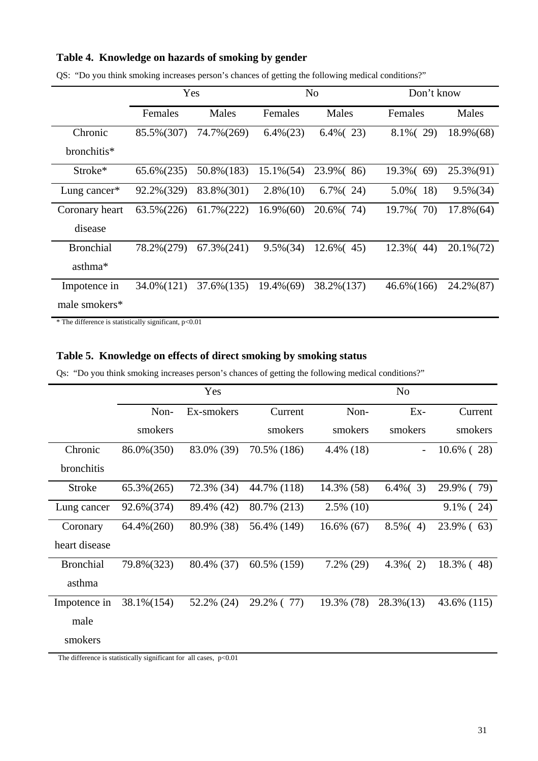#### **Table 4. Knowledge on hazards of smoking by gender**

|                     |               | Yes           |              | N <sub>o</sub> | Don't know    |              |
|---------------------|---------------|---------------|--------------|----------------|---------------|--------------|
|                     | Females       | Males         | Females      | Males          | Females       | Males        |
| Chronic             | 85.5%(307)    | 74.7%(269)    | $6.4\%(23)$  | $6.4\%$ (23)   | $8.1\%$ (29)  | 18.9%(68)    |
| bronchitis*         |               |               |              |                |               |              |
| Stroke <sup>*</sup> | $65.6\%(235)$ | 50.8% (183)   | $15.1\%(54)$ | 23.9% (86)     | $19.3\%$ (69) | 25.3%(91)    |
| Lung cancer*        | 92.2%(329)    | 83.8%(301)    | $2.8\%(10)$  | $6.7\%$ (24)   | $5.0\%(-18)$  | $9.5\%(34)$  |
| Coronary heart      | 63.5% (226)   | $61.7\%(222)$ | $16.9\%(60)$ | 20.6% (74)     | 19.7% (70)    | $17.8\%(64)$ |
| disease             |               |               |              |                |               |              |
| <b>Bronchial</b>    | 78.2%(279)    | $67.3\%(241)$ | $9.5\%(34)$  | $12.6\%(-45)$  | 12.3% (44)    | 20.1% (72)   |
| asthma*             |               |               |              |                |               |              |
| Impotence in        | 34.0% (121)   | 37.6%(135)    | $19.4\%(69)$ | 38.2% (137)    | $46.6\%(166)$ | 24.2%(87)    |
| male smokers*       |               |               |              |                |               |              |

QS: "Do you think smoking increases person's chances of getting the following medical conditions?"

 $*$  The difference is statistically significant,  $p<0.01$ 

#### **Table 5. Knowledge on effects of direct smoking by smoking status**

Qs: "Do you think smoking increases person's chances of getting the following medical conditions?"

|                  | Yes           |            |             | N <sub>o</sub> |                          |               |
|------------------|---------------|------------|-------------|----------------|--------------------------|---------------|
|                  | Non-          | Ex-smokers | Current     | Non-           | $Ex-$                    | Current       |
|                  | smokers       |            | smokers     | smokers        | smokers                  | smokers       |
| Chronic          | 86.0% (350)   | 83.0% (39) | 70.5% (186) | $4.4\%$ (18)   | $\overline{\phantom{a}}$ | $10.6\%$ (28) |
| bronchitis       |               |            |             |                |                          |               |
| <b>Stroke</b>    | $65.3\%(265)$ | 72.3% (34) | 44.7% (118) | 14.3% (58)     | $6.4\%$ (3)              | 29.9% (79)    |
| Lung cancer      | 92.6%(374)    | 89.4% (42) | 80.7% (213) | $2.5\%$ (10)   |                          | $9.1\%$ (24)  |
| Coronary         | 64.4% (260)   | 80.9% (38) | 56.4% (149) | $16.6\%$ (67)  | $8.5\%(-4)$              | $23.9\%$ (63) |
| heart disease    |               |            |             |                |                          |               |
| <b>Bronchial</b> | 79.8%(323)    | 80.4% (37) | 60.5% (159) | $7.2\%$ (29)   | $4.3\%$ (2)              | 18.3% (48)    |
| asthma           |               |            |             |                |                          |               |
| Impotence in     | 38.1% (154)   | 52.2% (24) | 29.2% (77)  | 19.3% (78)     | $28.3\%(13)$             | 43.6% (115)   |
| male             |               |            |             |                |                          |               |
| smokers          |               |            |             |                |                          |               |

The difference is statistically significant for all cases,  $p<0.01$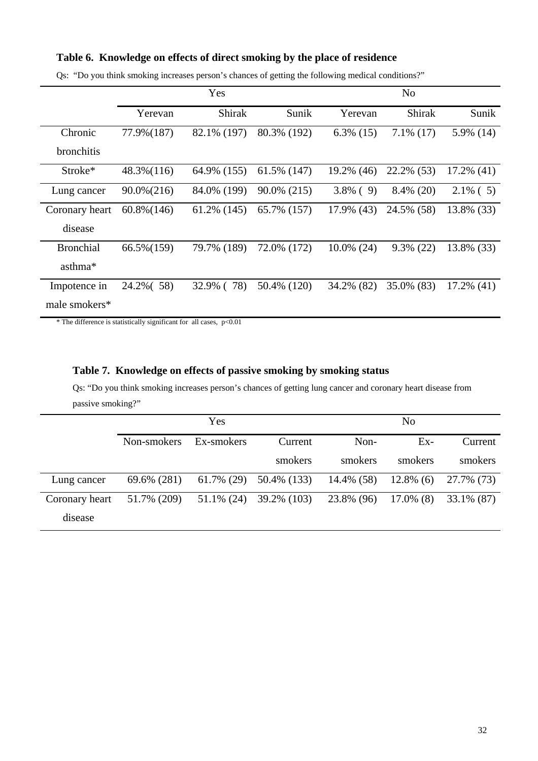#### **Table 6. Knowledge on effects of direct smoking by the place of residence**

|                   |                | Yes               |             |               | N <sub>o</sub> |               |
|-------------------|----------------|-------------------|-------------|---------------|----------------|---------------|
|                   | Yerevan        | <b>Shirak</b>     | Sunik       | Yerevan       | <b>Shirak</b>  | Sunik         |
| Chronic           | 77.9% (187)    | 82.1% (197)       | 80.3% (192) | $6.3\%$ (15)  | $7.1\%$ (17)   | 5.9% (14)     |
| <b>bronchitis</b> |                |                   |             |               |                |               |
| $Stroke*$         | $48.3\%(116)$  | 64.9% (155)       | 61.5% (147) | 19.2% (46)    | 22.2% (53)     | $17.2\%$ (41) |
| Lung cancer       | $90.0\% (216)$ | 84.0% (199)       | 90.0% (215) | $3.8\%$ (9)   | $8.4\%$ (20)   | $2.1\%$ (5)   |
| Coronary heart    | $60.8\%(146)$  | $61.2\%$ (145)    | 65.7% (157) | 17.9% (43)    | 24.5% (58)     | 13.8% (33)    |
| disease           |                |                   |             |               |                |               |
| <b>Bronchial</b>  | 66.5% (159)    | 79.7% (189)       | 72.0% (172) | $10.0\%$ (24) | $9.3\%$ (22)   | 13.8% (33)    |
| asthma*           |                |                   |             |               |                |               |
| Impotence in      | 24.2% (58)     | 78)<br>$32.9\%$ ( | 50.4% (120) | 34.2% (82)    | 35.0% (83)     | $17.2\%$ (41) |
| male smokers*     |                |                   |             |               |                |               |

Qs: "Do you think smoking increases person's chances of getting the following medical conditions?"

 $*$  The difference is statistically significant for all cases,  $p<0.01$ 

#### **Table 7. Knowledge on effects of passive smoking by smoking status**

Qs: "Do you think smoking increases person's chances of getting lung cancer and coronary heart disease from passive smoking?"

|                |             | Yes           |             |               | No           |             |
|----------------|-------------|---------------|-------------|---------------|--------------|-------------|
|                | Non-smokers | Ex-smokers    | Current     | Non-          | $Ex-$        | Current     |
|                |             |               | smokers     | smokers       | smokers      | smokers     |
| Lung cancer    | 69.6% (281) | $61.7\%$ (29) | 50.4% (133) | $14.4\%$ (58) | $12.8\%$ (6) | 27.7% (73)  |
| Coronary heart | 51.7% (209) | $51.1\%$ (24) | 39.2% (103) | 23.8% (96)    | $17.0\%$ (8) | 33.1\% (87) |
| disease        |             |               |             |               |              |             |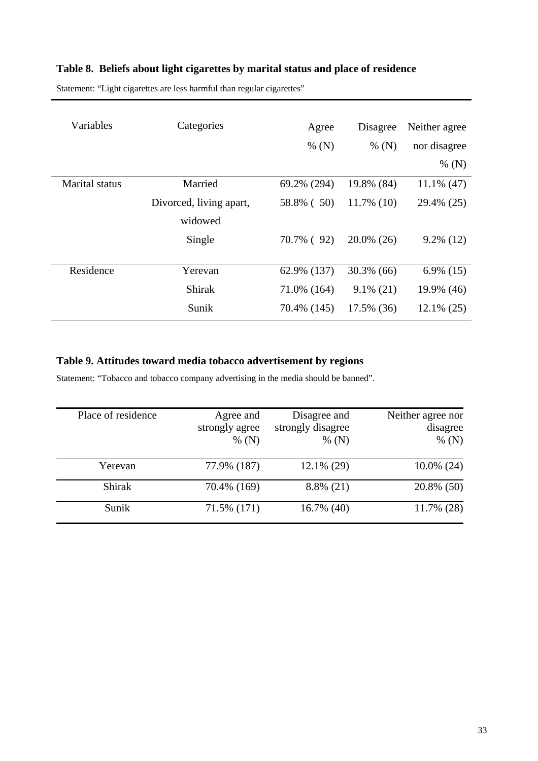## **Table 8. Beliefs about light cigarettes by marital status and place of residence**

Statement: "Light cigarettes are less harmful than regular cigarettes"

| Variables             | Categories              | Agree       | Disagree      | Neither agree |
|-----------------------|-------------------------|-------------|---------------|---------------|
|                       |                         | % $(N)$     | % $(N)$       | nor disagree  |
|                       |                         |             |               | % $(N)$       |
| <b>Marital</b> status | Married                 | 69.2% (294) | 19.8% (84)    | $11.1\%$ (47) |
|                       | Divorced, living apart, | 58.8% (50)  | 11.7% (10)    | 29.4% (25)    |
|                       | widowed                 |             |               |               |
|                       | Single                  | 70.7% (92)  | $20.0\%$ (26) | $9.2\%$ (12)  |
|                       |                         |             |               |               |
| Residence             | Yerevan                 | 62.9% (137) | $30.3\%$ (66) | $6.9\%$ (15)  |
|                       | <b>Shirak</b>           | 71.0% (164) | $9.1\%$ (21)  | 19.9% (46)    |
|                       | Sunik                   | 70.4% (145) | 17.5% (36)    | $12.1\% (25)$ |

## **Table 9. Attitudes toward media tobacco advertisement by regions**

Statement: "Tobacco and tobacco company advertising in the media should be banned".

| Place of residence | Agree and<br>strongly agree<br>% $(N)$ | Disagree and<br>strongly disagree<br>% $(N)$ | Neither agree nor<br>disagree<br>% $(N)$ |
|--------------------|----------------------------------------|----------------------------------------------|------------------------------------------|
| Yerevan            | 77.9% (187)                            | $12.1\%$ (29)                                | $10.0\%$ (24)                            |
| Shirak             | 70.4% (169)                            | $8.8\%$ (21)                                 | 20.8% (50)                               |
| Sunik              | 71.5% (171)                            | $16.7\%$ (40)                                | 11.7% (28)                               |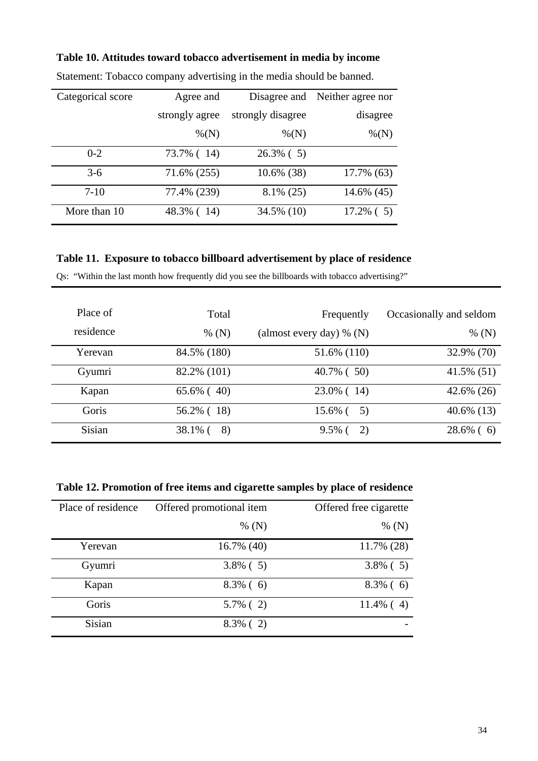| Categorical score | Agree and      |                   | Disagree and Neither agree nor |
|-------------------|----------------|-------------------|--------------------------------|
|                   | strongly agree | strongly disagree | disagree                       |
|                   | $\% (N)$       | $\% (N)$          | $\% (N)$                       |
| $0 - 2$           | 73.7% (14)     | $26.3\%$ (5)      |                                |
| $3-6$             | 71.6% (255)    | $10.6\%$ (38)     | 17.7% (63)                     |
| $7-10$            | 77.4% (239)    | $8.1\%$ (25)      | 14.6% (45)                     |
| More than 10      | 48.3% (14)     | 34.5% (10)        | $17.2\%$ (5)                   |

## **Table 10. Attitudes toward tobacco advertisement in media by income**

Statement: Tobacco company advertising in the media should be banned.

## **Table 11. Exposure to tobacco billboard advertisement by place of residence**

Qs: "Within the last month how frequently did you see the billboards with tobacco advertising?"

| Place of<br>residence | Total<br>% $(N)$ | Frequently<br>(almost every day) % $(N)$ | Occasionally and seldom<br>% $(N)$ |
|-----------------------|------------------|------------------------------------------|------------------------------------|
| Yerevan               | 84.5% (180)      | 51.6% (110)                              | 32.9% (70)                         |
| Gyumri                | 82.2% (101)      | $40.7\%$ (50)                            | $41.5\%$ (51)                      |
| Kapan                 | $65.6\%$ (40)    | 23.0% (14)                               | 42.6% (26)                         |
| Goris                 | 56.2% (18)       | 15.6% (<br>5)                            | $40.6\%$ (13)                      |
| <b>Sisian</b>         | 38.1% (<br>8)    | $9.5\%$ (<br>2)                          | $28.6\%$ (6)                       |

**Table 12. Promotion of free items and cigarette samples by place of residence** 

| Place of residence | Offered promotional item | Offered free cigarette |
|--------------------|--------------------------|------------------------|
|                    | % $(N)$                  | % $(N)$                |
| Yerevan            | 16.7% (40)               | 11.7% (28)             |
| Gyumri             | $3.8\%$ (5)              | $3.8\%$ (5)            |
| Kapan              | $8.3\%$ (6)              | $8.3\%$ (6)            |
| Goris              | $5.7\%$ (2)              | $11.4\%$ (4)           |
| Sisian             | $8.3\%$ (2)              |                        |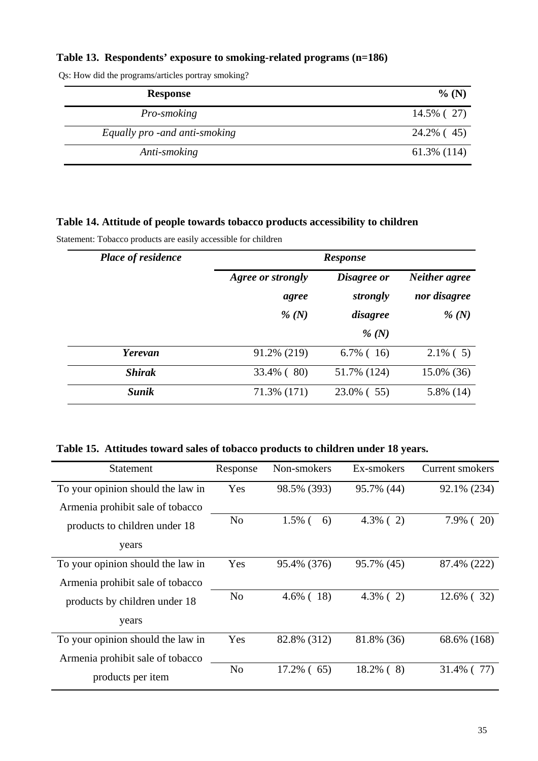## **Table 13. Respondents' exposure to smoking-related programs (n=186)**

| <b>Response</b>                | $%$ (N)        |
|--------------------------------|----------------|
| Pro-smoking                    | 14.5% (27)     |
| Equally pro - and anti-smoking | 24.2% (45)     |
| Anti-smoking                   | $61.3\%$ (114) |

Qs: How did the programs/articles portray smoking?

### **Table 14. Attitude of people towards tobacco products accessibility to children**

Statement: Tobacco products are easily accessible for children

| <b>Place of residence</b> | <b>Response</b>   |              |               |  |
|---------------------------|-------------------|--------------|---------------|--|
|                           | Agree or strongly | Disagree or  | Neither agree |  |
|                           | agree             | strongly     | nor disagree  |  |
|                           | % $(N)$           | disagree     | % $(N)$       |  |
|                           |                   | % $(N)$      |               |  |
| Yerevan                   | 91.2% (219)       | $6.7\%$ (16) | $2.1\%$ (5)   |  |
| <b>Shirak</b>             | 33.4% (80)        | 51.7% (124)  | 15.0% (36)    |  |
| <b>Sunik</b>              | 71.3% (171)       | 23.0% (55)   | 5.8% (14)     |  |

## **Table 15. Attitudes toward sales of tobacco products to children under 18 years.**

| <b>Statement</b>                  | Response       | Non-smokers     | Ex-smokers   | <b>Current smokers</b> |
|-----------------------------------|----------------|-----------------|--------------|------------------------|
| To your opinion should the law in | Yes            | 98.5% (393)     | 95.7% (44)   | 92.1% (234)            |
| Armenia prohibit sale of tobacco  |                |                 |              |                        |
| products to children under 18     | N <sub>o</sub> | $1.5\%$ (<br>6) | $4.3\%$ (2)  | $7.9\%$ (20)           |
| years                             |                |                 |              |                        |
| To your opinion should the law in | Yes            | 95.4% (376)     | 95.7% (45)   | 87.4% (222)            |
| Armenia prohibit sale of tobacco  |                |                 |              |                        |
| products by children under 18     | N <sub>0</sub> | $4.6\%$ (18)    | $4.3\%$ (2)  | $12.6\%$ (32)          |
| years                             |                |                 |              |                        |
| To your opinion should the law in | Yes            | 82.8% (312)     | 81.8% (36)   | 68.6% (168)            |
| Armenia prohibit sale of tobacco  |                |                 |              |                        |
| products per item                 | N <sub>o</sub> | 17.2% (65)      | $18.2\%$ (8) | $31.4\%$<br>77)        |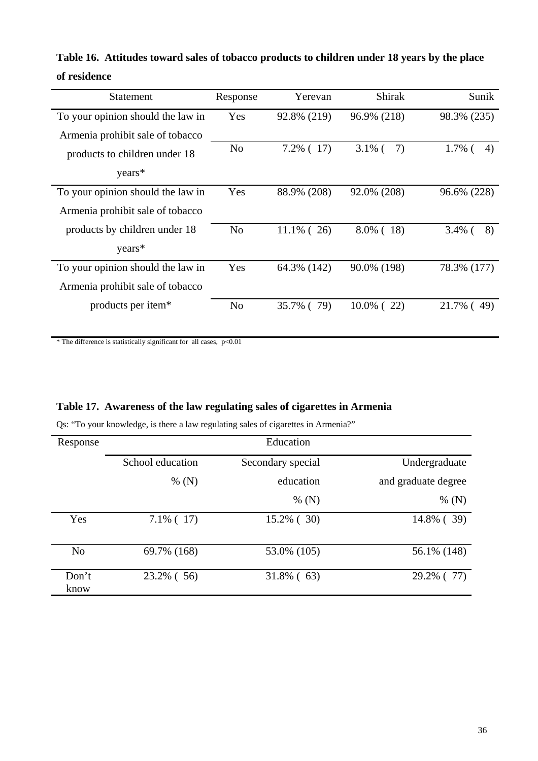| <b>Statement</b>                  | Response       | Yerevan       | <b>Shirak</b>     | Sunik             |
|-----------------------------------|----------------|---------------|-------------------|-------------------|
| To your opinion should the law in | Yes            | 92.8% (219)   | 96.9% (218)       | 98.3% (235)       |
| Armenia prohibit sale of tobacco  |                |               |                   |                   |
| products to children under 18     | N <sub>o</sub> | $7.2\%$ (17)  | $3.1\%$ (<br>7)   | $1.7\%$ (<br>4)   |
| years*                            |                |               |                   |                   |
| To your opinion should the law in | Yes            | 88.9% (208)   | 92.0% (208)       | 96.6% (228)       |
| Armenia prohibit sale of tobacco  |                |               |                   |                   |
| products by children under 18     | N <sub>o</sub> | $11.1\%$ (26) | $8.0\%$ (18)      | $3.4\%$ (<br>8)   |
| years*                            |                |               |                   |                   |
| To your opinion should the law in | Yes            | 64.3% (142)   | 90.0% (198)       | 78.3% (177)       |
| Armenia prohibit sale of tobacco  |                |               |                   |                   |
| products per item*                | N <sub>o</sub> | 35.7% (79)    | $10.0\%$ (<br>22) | $21.7\%$ (<br>49) |

**Table 16. Attitudes toward sales of tobacco products to children under 18 years by the place of residence** 

 $*$  The difference is statistically significant for all cases,  $p<0.01$ 

## **Table 17. Awareness of the law regulating sales of cigarettes in Armenia**

Qs: "To your knowledge, is there a law regulating sales of cigarettes in Armenia?"

| Response       | Education        |                   |                     |
|----------------|------------------|-------------------|---------------------|
|                | School education | Secondary special | Undergraduate       |
|                | % $(N)$          | education         | and graduate degree |
|                |                  | % $(N)$           | % $(N)$             |
| Yes            | $7.1\%$ (17)     | $15.2\%$ ( 30)    | 14.8% (39)          |
|                |                  |                   |                     |
| N <sub>o</sub> | 69.7% (168)      | 53.0% (105)       | 56.1% (148)         |
| Don't<br>know  | 23.2% (56)       | $31.8\%$ (63)     | 29.2% (77)          |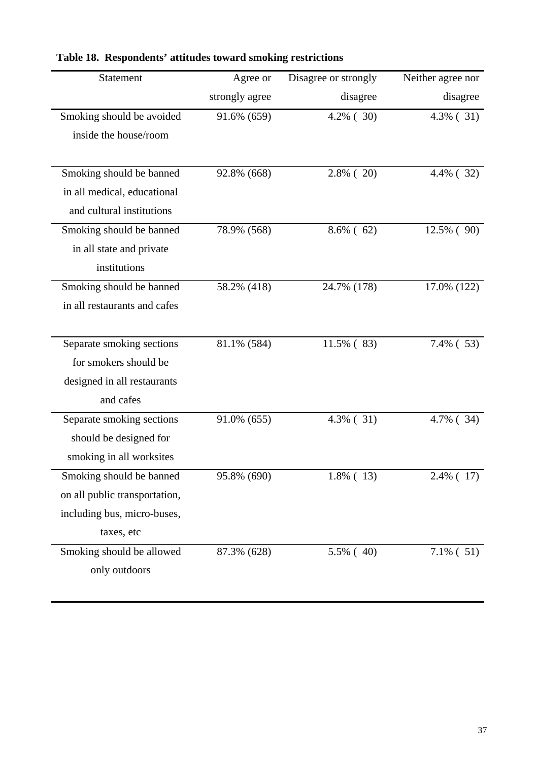| Statement                     | Agree or       | Disagree or strongly | Neither agree nor |
|-------------------------------|----------------|----------------------|-------------------|
|                               | strongly agree | disagree             | disagree          |
| Smoking should be avoided     | 91.6% (659)    | $4.2\%$ (30)         | $4.3\%$ (31)      |
| inside the house/room         |                |                      |                   |
|                               |                |                      |                   |
| Smoking should be banned      | 92.8% (668)    | $2.8\%$ (20)         | 4.4% (32)         |
| in all medical, educational   |                |                      |                   |
| and cultural institutions     |                |                      |                   |
| Smoking should be banned      | 78.9% (568)    | $8.6\%$ (62)         | $12.5\%$ (90)     |
| in all state and private      |                |                      |                   |
| institutions                  |                |                      |                   |
| Smoking should be banned      | 58.2% (418)    | 24.7% (178)          | 17.0% (122)       |
| in all restaurants and cafes  |                |                      |                   |
|                               |                |                      |                   |
| Separate smoking sections     | 81.1% (584)    | 11.5% (83)           | $7.4\%$ (53)      |
| for smokers should be         |                |                      |                   |
| designed in all restaurants   |                |                      |                   |
| and cafes                     |                |                      |                   |
| Separate smoking sections     | 91.0% (655)    | $4.3\%$ (31)         | 4.7% (34)         |
| should be designed for        |                |                      |                   |
| smoking in all worksites      |                |                      |                   |
| Smoking should be banned      | 95.8% (690)    | $1.8\%$ (13)         | 2.4% (17)         |
| on all public transportation, |                |                      |                   |
| including bus, micro-buses,   |                |                      |                   |
| taxes, etc                    |                |                      |                   |
| Smoking should be allowed     | 87.3% (628)    | 5.5% (40)            | $7.1\%$ (51)      |
| only outdoors                 |                |                      |                   |
|                               |                |                      |                   |

## **Table 18. Respondents' attitudes toward smoking restrictions**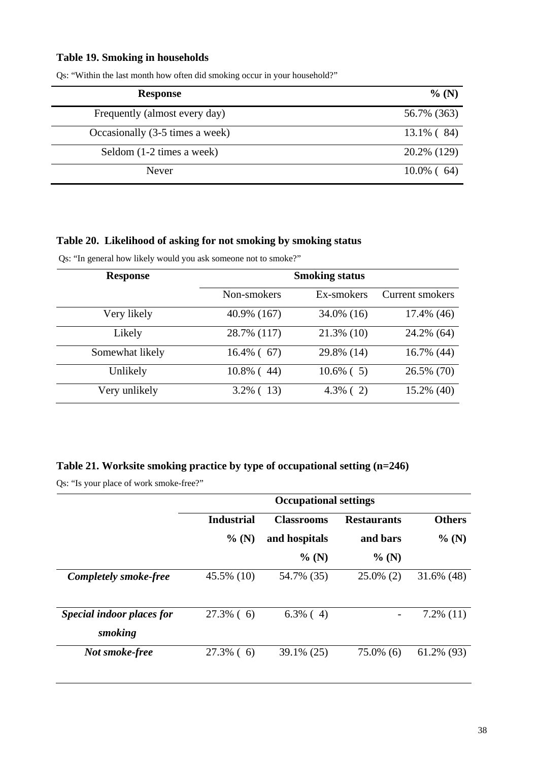#### **Table 19. Smoking in households**

| <b>Response</b>                 | $%$ (N)       |
|---------------------------------|---------------|
| Frequently (almost every day)   | 56.7% (363)   |
| Occasionally (3-5 times a week) | 13.1% (84)    |
| Seldom (1-2 times a week)       | 20.2% (129)   |
| Never                           | $10.0\%$ (64) |

Qs: "Within the last month how often did smoking occur in your household?"

#### **Table 20. Likelihood of asking for not smoking by smoking status**

Qs: "In general how likely would you ask someone not to smoke?"

| <b>Response</b> | <b>Smoking status</b> |               |                        |  |
|-----------------|-----------------------|---------------|------------------------|--|
|                 | Non-smokers           | Ex-smokers    | <b>Current smokers</b> |  |
| Very likely     | 40.9% (167)           | 34.0% (16)    | 17.4% (46)             |  |
| Likely          | 28.7% (117)           | $21.3\%$ (10) | 24.2% (64)             |  |
| Somewhat likely | $16.4\%$ (67)         | 29.8% (14)    | 16.7% (44)             |  |
| Unlikely        | $10.8\%$ (44)         | $10.6\%$ (5)  | 26.5% (70)             |  |
| Very unlikely   | $3.2\%$ (13)          | $4.3\%$ (2)   | 15.2% (40)             |  |

## **Table 21. Worksite smoking practice by type of occupational setting (n=246)**

Qs: "Is your place of work smoke-free?"

|                                      | <b>Occupational settings</b> |                   |                    |               |
|--------------------------------------|------------------------------|-------------------|--------------------|---------------|
|                                      | <b>Industrial</b>            | <b>Classrooms</b> | <b>Restaurants</b> | <b>Others</b> |
|                                      | % (N)                        | and hospitals     | and bars           | $%$ (N)       |
|                                      |                              | $%$ (N)           | $%$ (N)            |               |
| <b>Completely smoke-free</b>         | 45.5% (10)                   | 54.7% (35)        | $25.0\%$ (2)       | $31.6\%$ (48) |
| Special indoor places for<br>smoking | $27.3\%$ (6)                 | $6.3\%$ (4)       |                    | $7.2\%$ (11)  |
| Not smoke-free                       | $27.3\%$ (6)                 | 39.1% (25)        | $75.0\%$ (6)       | 61.2% (93)    |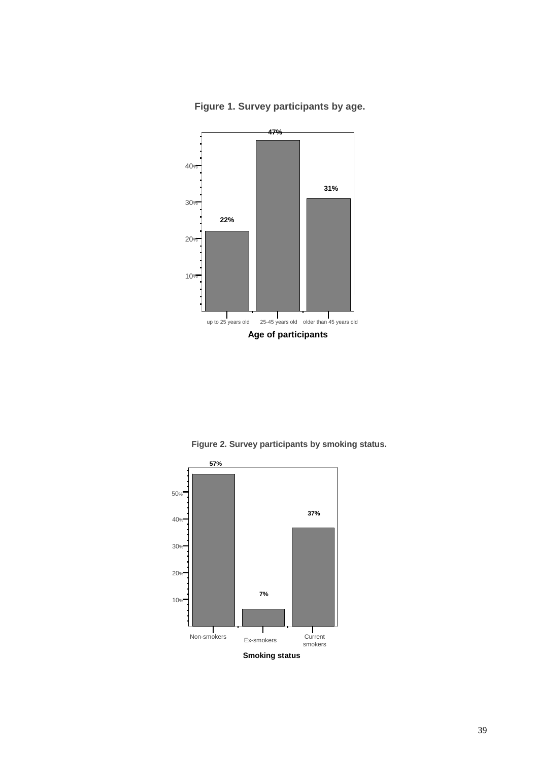

**Figure 1. Survey participants by age.**

**Figure 2. Survey participants by smoking status.**

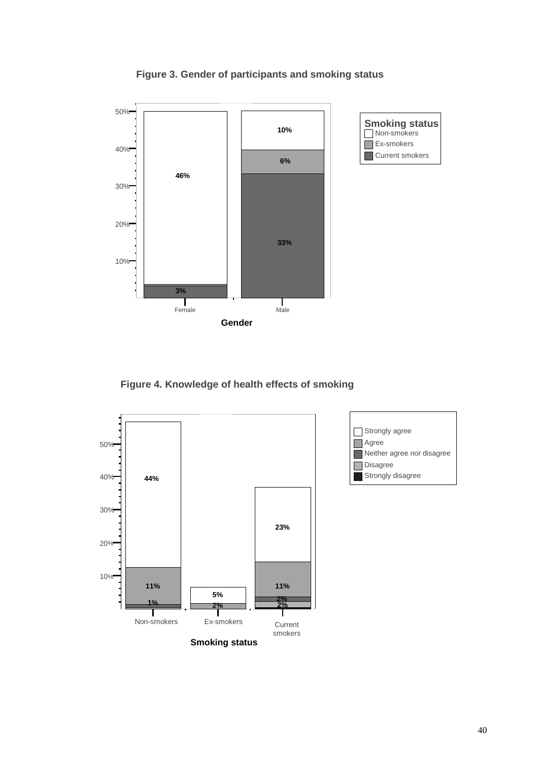

**Figure 3. Gender of participants and smoking status** 

**Figure 4. Knowledge of health effects of smoking** 

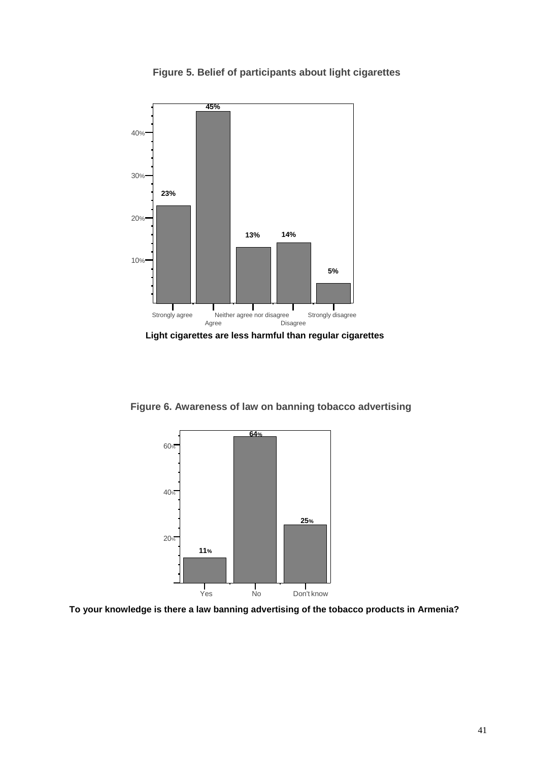



**Light cigarettes are less harmful than regular cigarettes** 

**Figure 6. Awareness of law on banning tobacco advertising** 



**To your knowledge is there a law banning advertising of the tobacco products in Armenia?**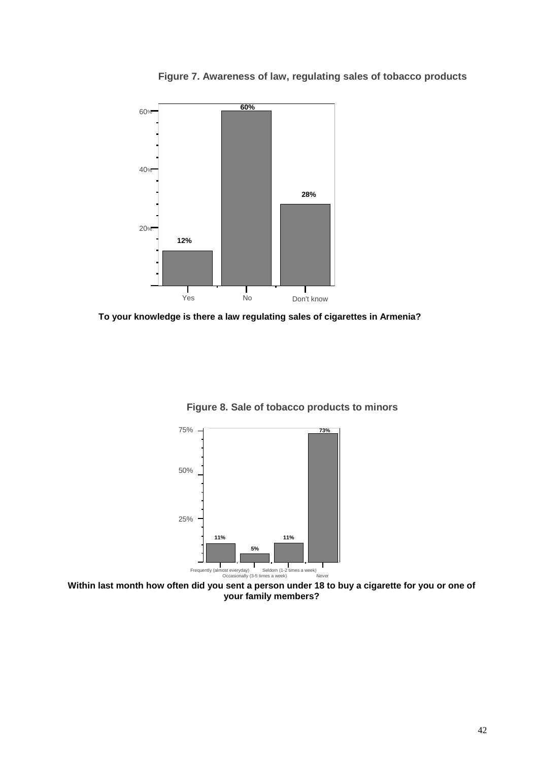**Figure 7. Awareness of law, regulating sales of tobacco products**



**To your knowledge is there a law regulating sales of cigarettes in Armenia?**



**Figure 8. Sale of tobacco products to minors**

**Within last month how often did you sent a person under 18 to buy a cigarette for you or one of your family members?**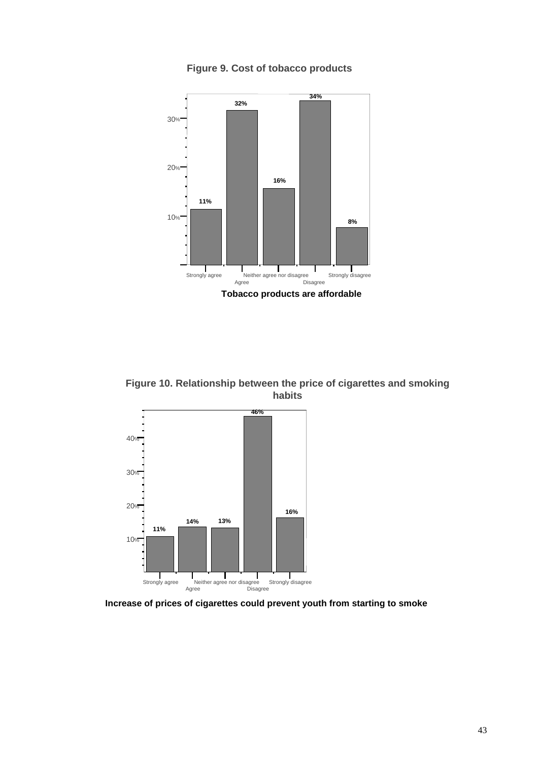**Figure 9. Cost of tobacco products**



**Figure 10. Relationship between the price of cigarettes and smoking habits**



**Increase of prices of cigarettes could prevent youth from starting to smoke**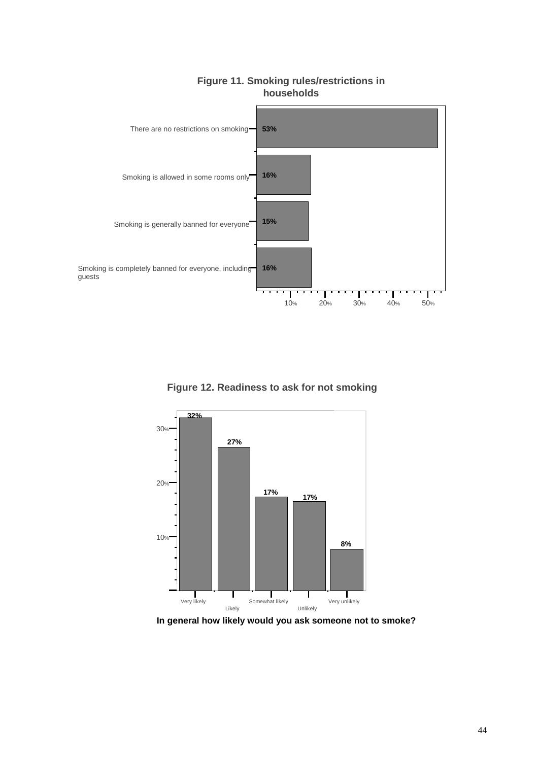

## **Figure 11. Smoking rules/restrictions in households**

**Figure 12. Readiness to ask for not smoking**



**In general how likely would you ask someone not to smoke?**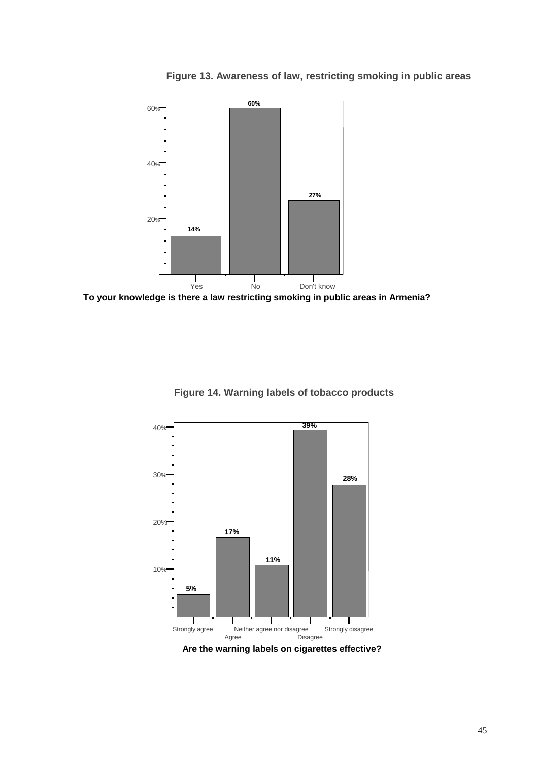**Figure 13. Awareness of law, restricting smoking in public areas**



**To your knowledge is there a law restricting smoking in public areas in Armenia?**



**Figure 14. Warning labels of tobacco products**



**Are the warning labels on cigarettes effective?**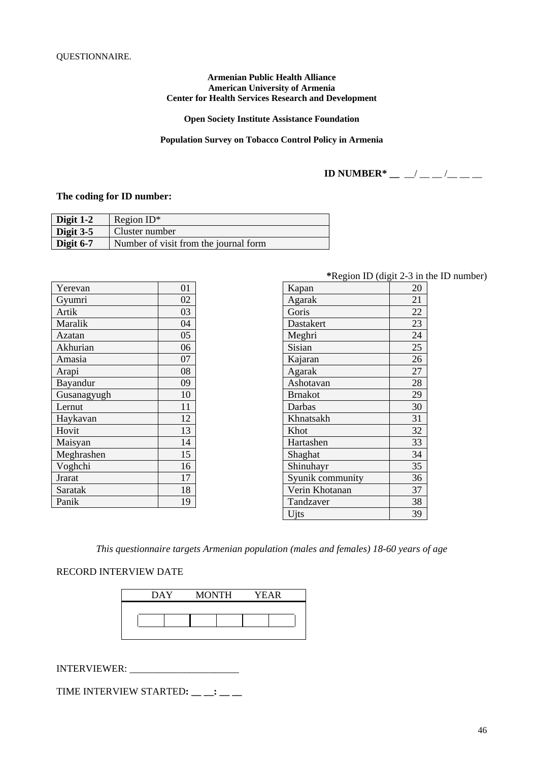#### **Armenian Public Health Alliance American University of Armenia Center for Health Services Research and Development**

**Open Society Institute Assistance Foundation** 

**Population Survey on Tobacco Control Policy in Armenia**

**ID NUMBER\*** \_\_ \_/ \_\_ \_/ \_\_ \_\_

#### **The coding for ID number:**

| Digit 1-2   | Region $ID^*$                         |
|-------------|---------------------------------------|
| Digit $3-5$ | Cluster number                        |
| Digit $6-7$ | Number of visit from the journal form |

| Yerevan       | 01 |
|---------------|----|
| Gyumri        | 02 |
| Artik         | 03 |
| Maralik       | 04 |
| Azatan        | 05 |
| Akhurian      | 06 |
| Amasia        | 07 |
| Arapi         | 08 |
| Bayandur      | 09 |
| Gusanagyugh   | 10 |
| Lernut        | 11 |
| Haykavan      | 12 |
| Hovit         | 13 |
| Maisyan       | 14 |
| Meghrashen    | 15 |
| Voghchi       | 16 |
| <b>Jrarat</b> | 17 |
| Saratak       | 18 |
| Panik         | 19 |

**\***Region ID (digit 2-3 in the ID number)

| 20 |
|----|
| 21 |
| 22 |
| 23 |
| 24 |
| 25 |
| 26 |
| 27 |
| 28 |
| 29 |
| 30 |
| 31 |
| 32 |
| 33 |
| 34 |
| 35 |
| 36 |
| 37 |
| 38 |
| 39 |
|    |

*This questionnaire targets Armenian population (males and females) 18-60 years of age* 

#### RECORD INTERVIEW DATE

| DAY | MONTH | YEAR |
|-----|-------|------|
|     |       |      |
|     |       |      |
|     |       |      |

INTERVIEWER: \_\_\_\_\_\_\_\_\_\_\_\_\_\_\_\_\_\_\_\_\_\_

TIME INTERVIEW STARTED**: \_\_ \_\_: \_\_ \_\_**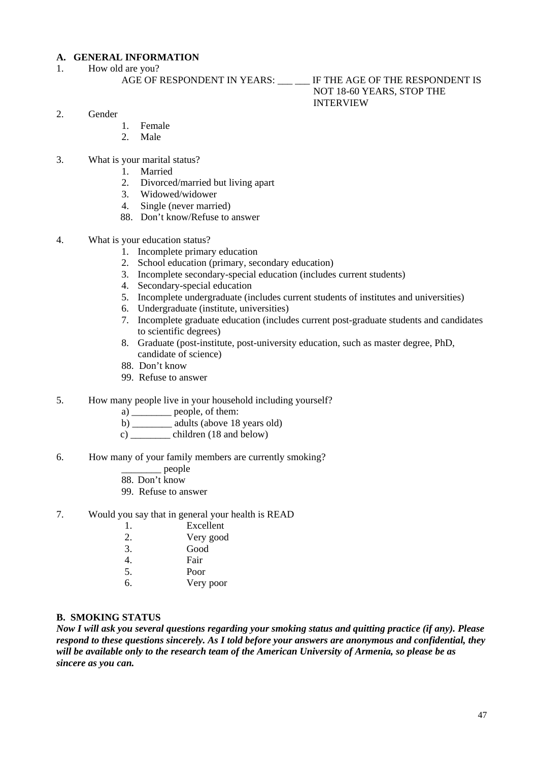## **A. GENERAL INFORMATION**

1. How old are you?

#### AGE OF RESPONDENT IN YEARS: \_\_\_ \_\_ IF THE AGE OF THE RESPONDENT IS NOT 18-60 YEARS, STOP THE INTERVIEW

- 2. Gender
	- 1. Female<br>2. Male
	- 2. Male
- 3. What is your marital status?
	- 1. Married
	- 2. Divorced/married but living apart
	- 3. Widowed/widower
	- 4. Single (never married)
	- 88. Don't know/Refuse to answer
- 4. What is your education status?
	- 1. Incomplete primary education
	- 2. School education (primary, secondary education)
	- 3. Incomplete secondary-special education (includes current students)
	- 4. Secondary-special education
	- 5. Incomplete undergraduate (includes current students of institutes and universities)
	- 6. Undergraduate (institute, universities)
	- 7. Incomplete graduate education (includes current post-graduate students and candidates to scientific degrees)
	- 8. Graduate (post-institute, post-university education, such as master degree, PhD, candidate of science)
	- 88. Don't know
	- 99. Refuse to answer
- 5. How many people live in your household including yourself?
	- a) \_\_\_\_\_\_\_\_ people, of them:
	- b) adults (above 18 years old)
	- c) \_\_\_\_\_\_\_\_ children (18 and below)
- 6. How many of your family members are currently smoking?
	- \_\_\_\_\_\_\_\_ people
	- 88. Don't know
	- 99. Refuse to answer
- 7. Would you say that in general your health is READ
	- 1. Excellent 2. Very good 3. Good 4. Fair 5. Poor 6. Very poor

#### **B. SMOKING STATUS**

*Now I will ask you several questions regarding your smoking status and quitting practice (if any). Please respond to these questions sincerely. As I told before your answers are anonymous and confidential, they will be available only to the research team of the American University of Armenia, so please be as sincere as you can.*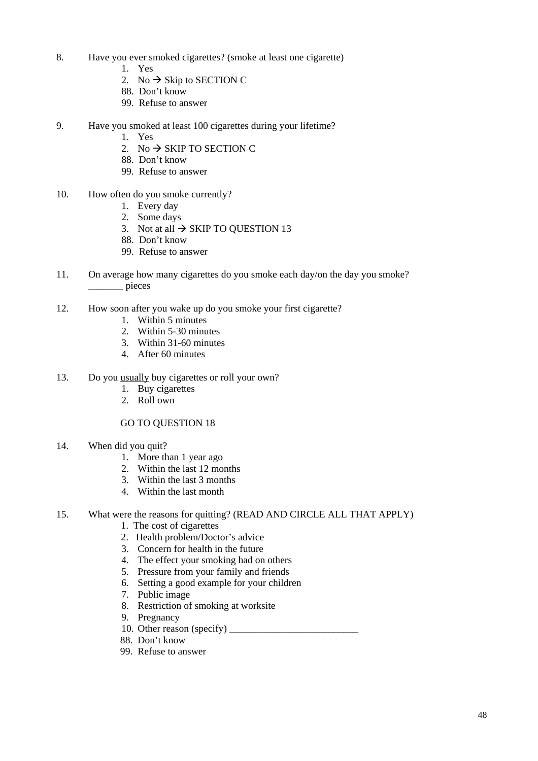- 8. Have you ever smoked cigarettes? (smoke at least one cigarette)
	- 1. Yes
	- 2. No  $\rightarrow$  Skip to SECTION C
	- 88. Don't know
	- 99. Refuse to answer
- 9. Have you smoked at least 100 cigarettes during your lifetime?
	- 1. Yes
	- 2. No  $\rightarrow$  SKIP TO SECTION C
	- 88. Don't know
	- 99. Refuse to answer
- 10. How often do you smoke currently?
	- 1. Every day
	- 2. Some days
	- 3. Not at all  $\rightarrow$  SKIP TO QUESTION 13
	- 88. Don't know
	- 99. Refuse to answer
- 11. On average how many cigarettes do you smoke each day/on the day you smoke? \_\_\_\_\_\_\_ pieces
- 12. How soon after you wake up do you smoke your first cigarette?
	- 1. Within 5 minutes
	- 2. Within 5-30 minutes
	- 3. Within 31-60 minutes
	- 4. After 60 minutes
- 13. Do you usually buy cigarettes or roll your own?
	- 1. Buy cigarettes
	- 2. Roll own

#### GO TO QUESTION 18

- 14. When did you quit?
	- 1. More than 1 year ago
	- 2. Within the last 12 months
	- 3. Within the last 3 months
	- 4. Within the last month

#### 15. What were the reasons for quitting? (READ AND CIRCLE ALL THAT APPLY)

- 1. The cost of cigarettes
- 2. Health problem/Doctor's advice
- 3. Concern for health in the future
- 4. The effect your smoking had on others
- 5. Pressure from your family and friends
- 6. Setting a good example for your children
- 7. Public image
- 8. Restriction of smoking at worksite
- 9. Pregnancy
- 10. Other reason (specify) \_\_\_\_\_\_\_\_\_\_\_\_\_\_\_\_\_\_\_\_\_\_\_\_\_\_
- 88. Don't know
- 99. Refuse to answer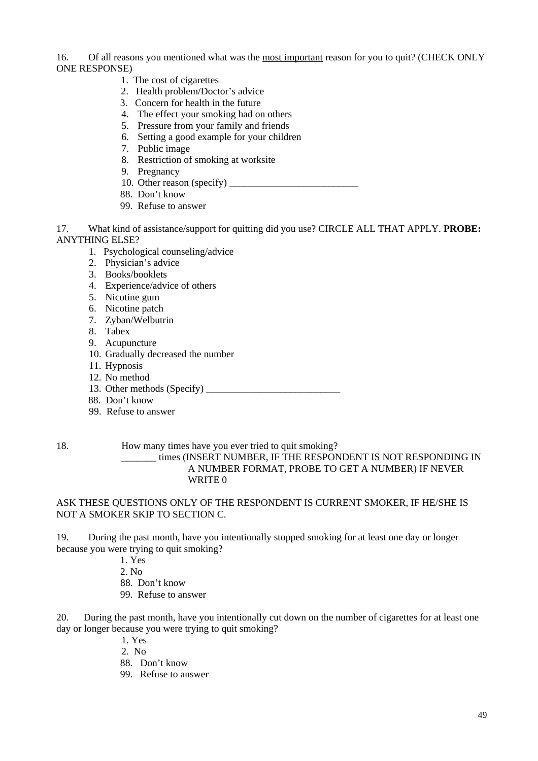16. Of all reasons you mentioned what was the most important reason for you to quit? (CHECK ONLY ONE RESPONSE)

- 1. The cost of cigarettes
- 2. Health problem/Doctor's advice
- 3. Concern for health in the future
- 4. The effect your smoking had on others
- 5. Pressure from your family and friends
- 6. Setting a good example for your children
- 7. Public image
- 8. Restriction of smoking at worksite
- 9. Pregnancy
- 10. Other reason (specify) \_\_\_\_\_\_\_\_\_\_\_\_\_\_\_\_\_\_\_\_\_\_\_\_\_\_
- 88. Don't know
- 99. Refuse to answer

17. What kind of assistance/support for quitting did you use? CIRCLE ALL THAT APPLY. **PROBE:** ANYTHING ELSE?

- 1. Psychological counseling/advice
- 2. Physician's advice
- 3. Books/booklets
- 4. Experience/advice of others
- 5. Nicotine gum
- 6. Nicotine patch
- 7. Zyban/Welbutrin
- 8. Tabex
- 9. Acupuncture
- 10. Gradually decreased the number
- 11. Hypnosis
- 12. No method
- 13. Other methods (Specify) \_\_\_\_\_\_\_\_\_\_\_\_\_\_\_\_\_\_\_\_\_\_\_\_\_\_\_
- 88. Don't know
- 99. Refuse to answer

18. How many times have you ever tried to quit smoking?

\_\_\_\_\_\_\_ times (INSERT NUMBER, IF THE RESPONDENT IS NOT RESPONDING IN A NUMBER FORMAT, PROBE TO GET A NUMBER) IF NEVER WRITE<sub>0</sub>

ASK THESE QUESTIONS ONLY OF THE RESPONDENT IS CURRENT SMOKER, IF HE/SHE IS NOT A SMOKER SKIP TO SECTION C.

19. During the past month, have you intentionally stopped smoking for at least one day or longer because you were trying to quit smoking?

1. Yes

2. No

- 88. Don't know
- 99. Refuse to answer

20. During the past month, have you intentionally cut down on the number of cigarettes for at least one day or longer because you were trying to quit smoking?

- 1. Yes
- 2. No
- 88. Don't know
- 99. Refuse to answer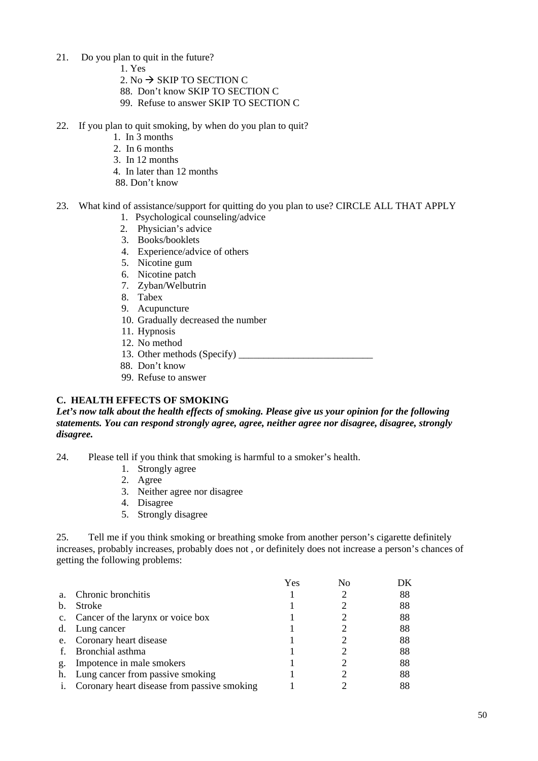- 21. Do you plan to quit in the future?
	- 1. Yes
	- 2. No  $\rightarrow$  SKIP TO SECTION C
	- 88. Don't know SKIP TO SECTION C
	- 99. Refuse to answer SKIP TO SECTION C
- 22. If you plan to quit smoking, by when do you plan to quit?
	- 1. In 3 months
	- 2. In 6 months
	- 3. In 12 months
	- 4. In later than 12 months
	- 88. Don't know
- 23. What kind of assistance/support for quitting do you plan to use? CIRCLE ALL THAT APPLY
	- 1. Psychological counseling/advice
	- 2. Physician's advice
	- 3. Books/booklets
	- 4. Experience/advice of others
	- 5. Nicotine gum
	- 6. Nicotine patch
	- 7. Zyban/Welbutrin
	- 8. Tabex
	- 9. Acupuncture
	- 10. Gradually decreased the number
	- 11. Hypnosis
	- 12. No method
	- 13. Other methods (Specify) \_\_\_\_\_\_\_\_\_\_\_\_\_\_\_\_\_\_\_\_\_\_\_\_\_\_\_
	- 88. Don't know
	- 99. Refuse to answer

#### **C. HEALTH EFFECTS OF SMOKING**

*Let's now talk about the health effects of smoking. Please give us your opinion for the following statements. You can respond strongly agree, agree, neither agree nor disagree, disagree, strongly disagree.* 

- 24. Please tell if you think that smoking is harmful to a smoker's health.
	- 1. Strongly agree
	- 2. Agree
	- 3. Neither agree nor disagree
	- 4. Disagree
	- 5. Strongly disagree

25. Tell me if you think smoking or breathing smoke from another person's cigarette definitely increases, probably increases, probably does not , or definitely does not increase a person's chances of getting the following problems:

|    |                                             | Yes |    |
|----|---------------------------------------------|-----|----|
| a. | Chronic bronchitis                          |     | 88 |
| b. | <b>Stroke</b>                               |     | 88 |
|    | c. Cancer of the larynx or voice box        |     | 88 |
| d. | Lung cancer                                 |     | 88 |
|    | e. Coronary heart disease                   |     | 88 |
|    | Bronchial asthma                            |     | 88 |
| g. | Impotence in male smokers                   |     | 88 |
|    | h. Lung cancer from passive smoking         |     | 88 |
|    | Coronary heart disease from passive smoking |     | 88 |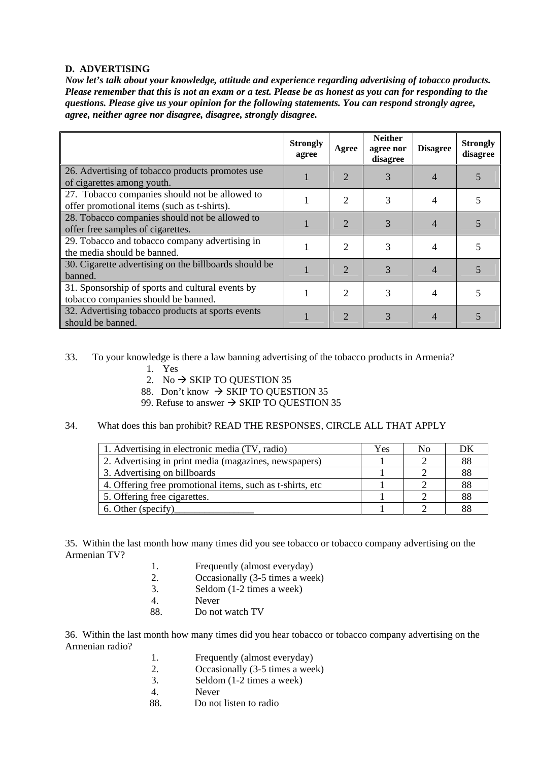#### **D. ADVERTISING**

*Now let's talk about your knowledge, attitude and experience regarding advertising of tobacco products. Please remember that this is not an exam or a test. Please be as honest as you can for responding to the questions. Please give us your opinion for the following statements. You can respond strongly agree, agree, neither agree nor disagree, disagree, strongly disagree.* 

|                                                                                               | <b>Strongly</b><br>agree | Agree                 | <b>Neither</b><br>agree nor<br>disagree | <b>Disagree</b> | <b>Strongly</b><br>disagree |
|-----------------------------------------------------------------------------------------------|--------------------------|-----------------------|-----------------------------------------|-----------------|-----------------------------|
| 26. Advertising of tobacco products promotes use<br>of cigarettes among youth.                |                          | $\overline{2}$        | 3                                       |                 |                             |
| 27. Tobacco companies should not be allowed to<br>offer promotional items (such as t-shirts). |                          | $\overline{2}$        | 3                                       | 4               |                             |
| 28. Tobacco companies should not be allowed to<br>offer free samples of cigarettes.           |                          | $\overline{2}$        | 3                                       |                 |                             |
| 29. Tobacco and tobacco company advertising in<br>the media should be banned.                 |                          | $\overline{2}$        | 3                                       | 4               |                             |
| 30. Cigarette advertising on the billboards should be<br>banned.                              |                          | $\mathcal{D}_{\cdot}$ | 3                                       | 4               |                             |
| 31. Sponsorship of sports and cultural events by<br>tobacco companies should be banned.       |                          | $\overline{2}$        | 3                                       | 4               |                             |
| 32. Advertising tobacco products at sports events<br>should be banned.                        |                          | $\overline{2}$        | 3                                       | 4               |                             |

#### 33. To your knowledge is there a law banning advertising of the tobacco products in Armenia?

- 1. Yes
- 2. No  $\rightarrow$  SKIP TO QUESTION 35
- 88. Don't know  $\rightarrow$  SKIP TO QUESTION 35
- 99. Refuse to answer  $\rightarrow$  SKIP TO QUESTION 35

#### 34. What does this ban prohibit? READ THE RESPONSES, CIRCLE ALL THAT APPLY

| 1. Advertising in electronic media (TV, radio)            | Yes | No | DK |
|-----------------------------------------------------------|-----|----|----|
| 2. Advertising in print media (magazines, newspapers)     |     |    | 88 |
| 3. Advertising on billboards                              |     |    | 88 |
| 4. Offering free promotional items, such as t-shirts, etc |     |    | 88 |
| 5. Offering free cigarettes.                              |     |    | 88 |
| 6. Other (specify)                                        |     |    | 88 |

35. Within the last month how many times did you see tobacco or tobacco company advertising on the Armenian TV?

- 1. Frequently (almost everyday)
- 2. Occasionally (3-5 times a week)
- 3. Seldom (1-2 times a week)
- 4. Never
- 88. Do not watch TV

36. Within the last month how many times did you hear tobacco or tobacco company advertising on the Armenian radio?

- 1. Frequently (almost everyday)<br>2. Occasionally (3-5 times a wee
- Occasionally (3-5 times a week)
- 3. Seldom (1-2 times a week)
- 4. Never
- 88. Do not listen to radio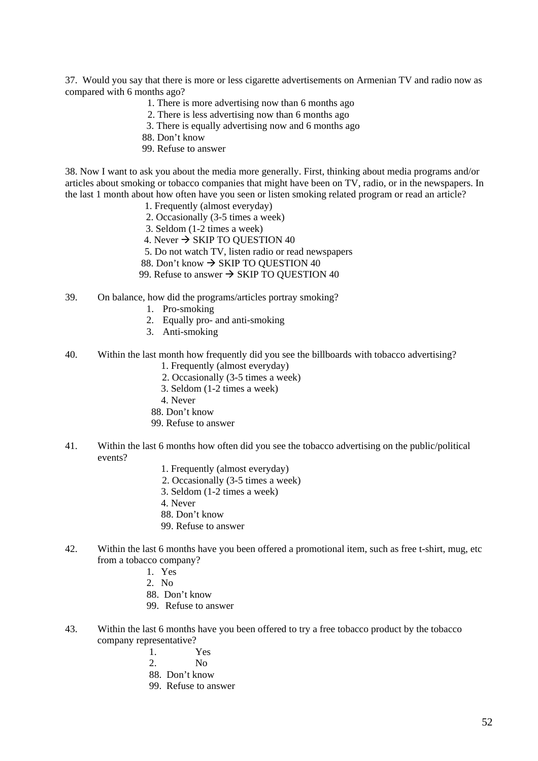37. Would you say that there is more or less cigarette advertisements on Armenian TV and radio now as compared with 6 months ago?

- 1. There is more advertising now than 6 months ago
- 2. There is less advertising now than 6 months ago
- 3. There is equally advertising now and 6 months ago
- 88. Don't know
- 99. Refuse to answer

38. Now I want to ask you about the media more generally. First, thinking about media programs and/or articles about smoking or tobacco companies that might have been on TV, radio, or in the newspapers. In the last 1 month about how often have you seen or listen smoking related program or read an article?

- 1. Frequently (almost everyday)
- 2. Occasionally (3-5 times a week)
- 3. Seldom (1-2 times a week)
- 4. Never  $\rightarrow$  SKIP TO OUESTION 40
- 5. Do not watch TV, listen radio or read newspapers
- 88. Don't know  $\rightarrow$  SKIP TO QUESTION 40
- 99. Refuse to answer  $\rightarrow$  SKIP TO QUESTION 40
- 39. On balance, how did the programs/articles portray smoking?
	- 1. Pro-smoking
	- 2. Equally pro- and anti-smoking
	- 3. Anti-smoking
- 40. Within the last month how frequently did you see the billboards with tobacco advertising?
	- 1. Frequently (almost everyday)
	- 2. Occasionally (3-5 times a week)
	- 3. Seldom (1-2 times a week)
	- 4. Never
	- 88. Don't know
	- 99. Refuse to answer
- 41. Within the last 6 months how often did you see the tobacco advertising on the public/political events?
	- 1. Frequently (almost everyday)
	- 2. Occasionally (3-5 times a week)
	- 3. Seldom (1-2 times a week)
	- 4. Never
	- 88. Don't know
	- 99. Refuse to answer
- 42. Within the last 6 months have you been offered a promotional item, such as free t-shirt, mug, etc from a tobacco company?
	- 1. Yes
	- 2.  $N_0$
	- 88. Don't know
	- 99. Refuse to answer
- 43. Within the last 6 months have you been offered to try a free tobacco product by the tobacco company representative?
	- 1. Yes
	- 2  $N_0$
	- 88. Don't know
	- 99. Refuse to answer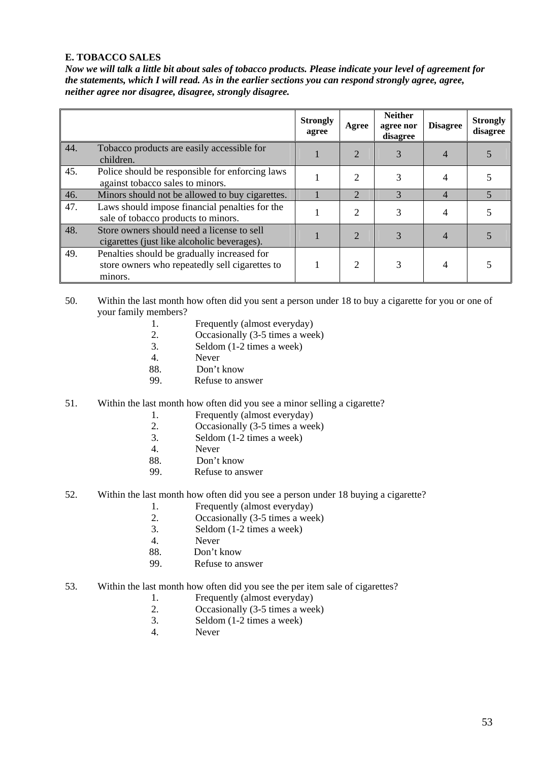#### **E. TOBACCO SALES**

*Now we will talk a little bit about sales of tobacco products. Please indicate your level of agreement for the statements, which I will read. As in the earlier sections you can respond strongly agree, agree, neither agree nor disagree, disagree, strongly disagree.* 

|     |                                                                                                          | <b>Strongly</b><br>agree | Agree                 | <b>Neither</b><br>agree nor<br>disagree | <b>Disagree</b> | <b>Strongly</b><br>disagree |
|-----|----------------------------------------------------------------------------------------------------------|--------------------------|-----------------------|-----------------------------------------|-----------------|-----------------------------|
| 44. | Tobacco products are easily accessible for<br>children.                                                  |                          | 2                     | 3                                       |                 |                             |
| 45. | Police should be responsible for enforcing laws<br>against tobacco sales to minors.                      |                          | 2                     | 3                                       |                 |                             |
| 46. | Minors should not be allowed to buy cigarettes.                                                          |                          | $\overline{2}$        | 3                                       | $\overline{4}$  |                             |
| 47. | Laws should impose financial penalties for the<br>sale of tobacco products to minors.                    |                          | $\mathcal{D}$         | 3                                       |                 |                             |
| 48. | Store owners should need a license to sell<br>cigarettes (just like alcoholic beverages).                |                          | $\mathcal{D}_{\cdot}$ |                                         |                 |                             |
| 49. | Penalties should be gradually increased for<br>store owners who repeatedly sell cigarettes to<br>minors. |                          | 2                     |                                         |                 |                             |

- 50. Within the last month how often did you sent a person under 18 to buy a cigarette for you or one of your family members?
	- 1. Frequently (almost everyday)
	- 2. Occasionally (3-5 times a week)
	- 3. Seldom (1-2 times a week)
	- 4. Never
	- 88. Don't know
	- 99. Refuse to answer
- 51. Within the last month how often did you see a minor selling a cigarette?
	- 1. Frequently (almost everyday)
	- 2. Occasionally (3-5 times a week)
	- 3. Seldom (1-2 times a week)
	- 4. Never
	- 88. Don't know
	- 99. Refuse to answer
- 52. Within the last month how often did you see a person under 18 buying a cigarette?
	- 1. Frequently (almost everyday)
		- 2. Occasionally (3-5 times a week)
		- 3. Seldom (1-2 times a week)
		- 4. Never
		- 88. Don't know
	- 99. Refuse to answer
- 53. Within the last month how often did you see the per item sale of cigarettes?
	- 1. Frequently (almost everyday)
	- 2. Occasionally (3-5 times a week)
	- 3. Seldom (1-2 times a week)
	- 4. Never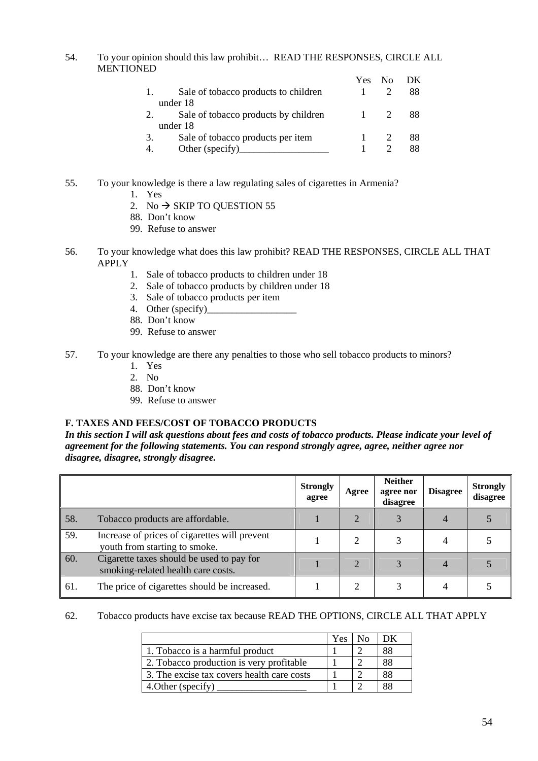54. To your opinion should this law prohibit… READ THE RESPONSES, CIRCLE ALL **MENTIONED** 

|    |                                      | Yes            | $N_{\Omega}$ | DK. |
|----|--------------------------------------|----------------|--------------|-----|
|    | Sale of tobacco products to children |                |              | 88  |
|    | under 18                             |                |              |     |
|    | Sale of tobacco products by children | $\overline{1}$ |              | 88  |
|    | under 18                             |                |              |     |
| 3. | Sale of tobacco products per item    |                |              | 88  |
|    | Other (specify)                      |                |              |     |

- 55. To your knowledge is there a law regulating sales of cigarettes in Armenia?
	- 1. Yes
	- 2. No  $\rightarrow$  SKIP TO QUESTION 55
	- 88. Don't know
	- 99. Refuse to answer
- 56. To your knowledge what does this law prohibit? READ THE RESPONSES, CIRCLE ALL THAT APPLY
	- 1. Sale of tobacco products to children under 18
	- 2. Sale of tobacco products by children under 18
	- 3. Sale of tobacco products per item
	- 4. Other (specify)\_
	- 88. Don't know
	- 99. Refuse to answer
- 57. To your knowledge are there any penalties to those who sell tobacco products to minors?
	- 1. Yes
	- 2. No
	- 88. Don't know
	- 99. Refuse to answer

#### **F. TAXES AND FEES/COST OF TOBACCO PRODUCTS**

*In this section I will ask questions about fees and costs of tobacco products. Please indicate your level of agreement for the following statements. You can respond strongly agree, agree, neither agree nor disagree, disagree, strongly disagree.* 

|     |                                                                                 | <b>Strongly</b><br>agree | Agree          | <b>Neither</b><br>agree nor<br>disagree | <b>Disagree</b> | <b>Strongly</b><br>disagree |
|-----|---------------------------------------------------------------------------------|--------------------------|----------------|-----------------------------------------|-----------------|-----------------------------|
| 58. | Tobacco products are affordable.                                                |                          |                |                                         |                 |                             |
| 59. | Increase of prices of cigarettes will prevent<br>youth from starting to smoke.  |                          |                |                                         |                 |                             |
| 60. | Cigarette taxes should be used to pay for<br>smoking-related health care costs. |                          | $\overline{2}$ |                                         |                 |                             |
| 61. | The price of cigarettes should be increased.                                    |                          |                |                                         |                 |                             |

#### 62. Tobacco products have excise tax because READ THE OPTIONS, CIRCLE ALL THAT APPLY

|                                            | Yes |    |
|--------------------------------------------|-----|----|
| 1. Tobacco is a harmful product            |     | 88 |
| 2. Tobacco production is very profitable   |     | 88 |
| 3. The excise tax covers health care costs |     | 88 |
| 4. Other (specify)                         |     |    |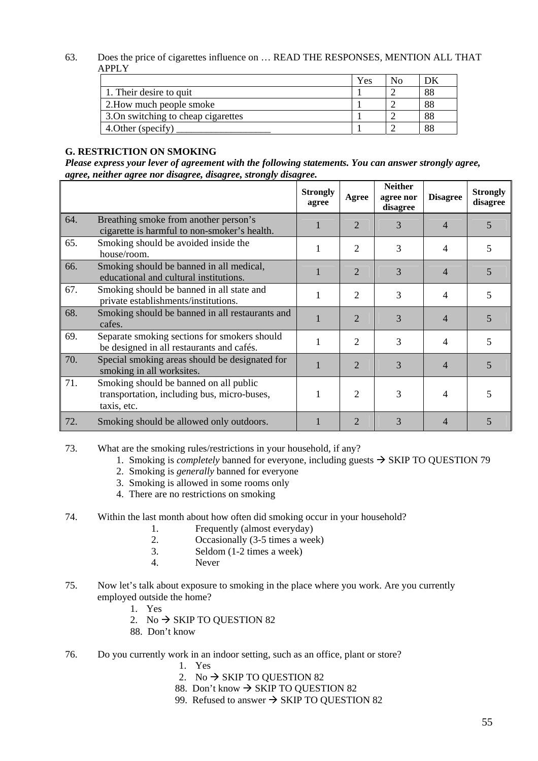#### 63. Does the price of cigarettes influence on … READ THE RESPONSES, MENTION ALL THAT APPLY

|                                     | Yes | Nο |    |
|-------------------------------------|-----|----|----|
| 1. Their desire to quit             |     |    | 88 |
| 2. How much people smoke            |     |    | 88 |
| 3. On switching to cheap cigarettes |     |    | 88 |
| 4. Other (specify)                  |     |    | 88 |

#### **G. RESTRICTION ON SMOKING**

*Please express your lever of agreement with the following statements. You can answer strongly agree, agree, neither agree nor disagree, disagree, strongly disagree.* 

|     |                                                                                                      | <b>Strongly</b><br>agree | Agree          | <b>Neither</b><br>agree nor<br>disagree | <b>Disagree</b> | <b>Strongly</b><br>disagree |
|-----|------------------------------------------------------------------------------------------------------|--------------------------|----------------|-----------------------------------------|-----------------|-----------------------------|
| 64. | Breathing smoke from another person's<br>cigarette is harmful to non-smoker's health.                |                          | $\overline{2}$ | 3                                       | 4               | 5                           |
| 65. | Smoking should be avoided inside the<br>house/room.                                                  |                          | 2              | 3                                       | 4               | 5                           |
| 66. | Smoking should be banned in all medical,<br>educational and cultural institutions.                   |                          | $\overline{2}$ | 3                                       | 4               | 5                           |
| 67. | Smoking should be banned in all state and<br>private establishments/institutions.                    |                          | $\overline{2}$ | 3                                       | 4               | 5                           |
| 68. | Smoking should be banned in all restaurants and<br>cafes.                                            |                          | $\overline{2}$ | 3                                       | 4               | 5                           |
| 69. | Separate smoking sections for smokers should<br>be designed in all restaurants and cafés.            |                          | $\overline{c}$ | 3                                       | 4               | 5                           |
| 70. | Special smoking areas should be designated for<br>smoking in all worksites.                          |                          | $\overline{2}$ | 3                                       | $\overline{4}$  | 5                           |
| 71. | Smoking should be banned on all public<br>transportation, including bus, micro-buses,<br>taxis, etc. |                          | 2              | 3                                       | 4               | 5                           |
| 72. | Smoking should be allowed only outdoors.                                                             |                          | 2              | 3                                       | $\overline{4}$  | 5                           |

73. What are the smoking rules/restrictions in your household, if any?

- 1. Smoking is *completely* banned for everyone, including guests  $\rightarrow$  SKIP TO QUESTION 79
- 2. Smoking is *generally* banned for everyone
- 3. Smoking is allowed in some rooms only
- 4. There are no restrictions on smoking

#### 74. Within the last month about how often did smoking occur in your household?

- 1. Frequently (almost everyday)
- 2. Occasionally (3-5 times a week)
- 3. Seldom (1-2 times a week)
- 4. Never
- 75. Now let's talk about exposure to smoking in the place where you work. Are you currently employed outside the home?
	- 1. Yes
	- 2. No  $\rightarrow$  SKIP TO OUESTION 82
	- 88. Don't know
- 76. Do you currently work in an indoor setting, such as an office, plant or store?
	- 1. Yes
	- 2. No  $\rightarrow$  SKIP TO QUESTION 82
	- 88. Don't know  $\rightarrow$  SKIP TO QUESTION 82
	- 99. Refused to answer  $\rightarrow$  SKIP TO QUESTION 82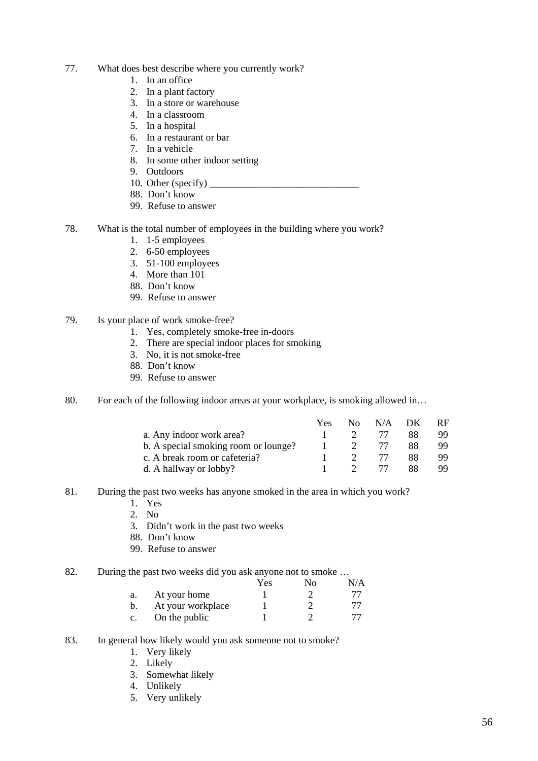- 77. What does best describe where you currently work?
	- 1. In an office
	- 2. In a plant factory
	- 3. In a store or warehouse
	- 4. In a classroom
	- 5. In a hospital
	- 6. In a restaurant or bar
	- 7. In a vehicle
	- 8. In some other indoor setting
	- 9. Outdoors
	- 10. Other (specify)  $\overline{\phantom{a}}$
	- 88. Don't know
	- 99. Refuse to answer
- 78. What is the total number of employees in the building where you work?
	- 1. 1-5 employees
	- 2. 6-50 employees
	- 3. 51-100 employees
	- 4. More than 101
	- 88. Don't know
	- 99. Refuse to answer
- 79. Is your place of work smoke-free?
	- 1. Yes, completely smoke-free in-doors
	- 2. There are special indoor places for smoking
	- 3. No, it is not smoke-free
	- 88. Don't know
	- 99. Refuse to answer
- 80. For each of the following indoor areas at your workplace, is smoking allowed in...

|                                      | Yes. |                | $No$ $N/A$ $DK$ |    | -RF |
|--------------------------------------|------|----------------|-----------------|----|-----|
| a. Any indoor work area?             |      | $\mathcal{D}$  | 77              | 88 | 99  |
| b. A special smoking room or lounge? |      | $\overline{2}$ | 77              | 88 | 99  |
| c. A break room or cafeteria?        |      | $\gamma$       | 77              | 88 | 99  |
| d. A hallway or lobby?               |      |                | 77              | 88 | 99  |

- 81. During the past two weeks has anyone smoked in the area in which you work?
	- 1. Yes
	- 2. No
	- 3. Didn't work in the past two weeks
	- 88. Don't know
	- 99. Refuse to answer
- 82. During the past two weeks did you ask anyone not to smoke ...

|                |                   | Yes | Nο | N/A |
|----------------|-------------------|-----|----|-----|
| a.             | At your home      |     |    |     |
| b.             | At your workplace |     |    |     |
| $\mathbf{c}$ . | On the public     |     |    |     |

### 83. In general how likely would you ask someone not to smoke?

- 1. Very likely
- 2. Likely
- 3. Somewhat likely
- 4. Unlikely
- 5. Very unlikely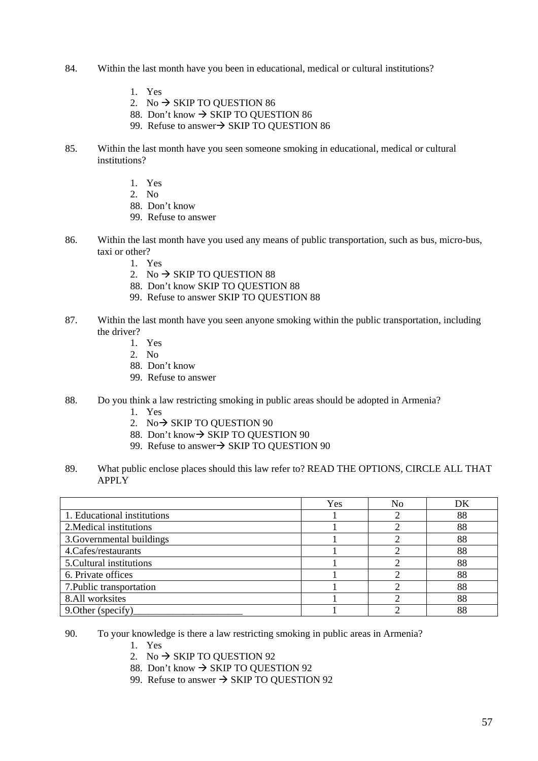- 84. Within the last month have you been in educational, medical or cultural institutions?
	- 1. Yes
	- 2. No  $\rightarrow$  SKIP TO QUESTION 86
	- 88. Don't know  $\rightarrow$  SKIP TO QUESTION 86
	- 99. Refuse to answer $\rightarrow$  SKIP TO QUESTION 86
- 85. Within the last month have you seen someone smoking in educational, medical or cultural institutions?
	- 1. Yes
	- 2. No
	- 88. Don't know
	- 99. Refuse to answer
- 86. Within the last month have you used any means of public transportation, such as bus, micro-bus, taxi or other?
	- 1. Yes
	- 2. No  $\rightarrow$  SKIP TO QUESTION 88
	- 88. Don't know SKIP TO QUESTION 88
	- 99. Refuse to answer SKIP TO QUESTION 88
- 87. Within the last month have you seen anyone smoking within the public transportation, including the driver?
	- 1. Yes
	- 2. No
	- 88. Don't know
	- 99. Refuse to answer
- 88. Do you think a law restricting smoking in public areas should be adopted in Armenia?
	- 1. Yes
	- 2. No  $\rightarrow$  SKIP TO OUESTION 90
	- 88. Don't know→ SKIP TO QUESTION 90
	- 99. Refuse to answer $\rightarrow$  SKIP TO QUESTION 90
- 89. What public enclose places should this law refer to? READ THE OPTIONS, CIRCLE ALL THAT APPLY

|                             | Yes | No | DK |
|-----------------------------|-----|----|----|
| 1. Educational institutions |     |    | 88 |
| 2. Medical institutions     |     |    | 88 |
| 3. Governmental buildings   |     |    | 88 |
| 4. Cafes/restaurants        |     |    | 88 |
| 5. Cultural institutions    |     |    | 88 |
| 6. Private offices          |     |    | 88 |
| 7. Public transportation    |     |    | 88 |
| 8.All worksites             |     |    | 88 |
| 9. Other (specify)          |     |    | 88 |

90. To your knowledge is there a law restricting smoking in public areas in Armenia?

- 1. Yes
- 2. No  $\rightarrow$  SKIP TO OUESTION 92
- 88. Don't know  $\rightarrow$  SKIP TO OUESTION 92
- 99. Refuse to answer  $\rightarrow$  SKIP TO QUESTION 92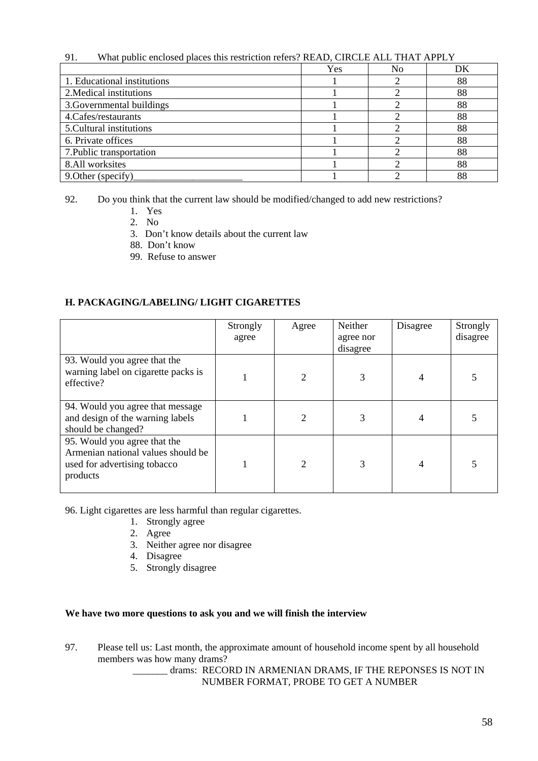| What public enclosed places this restriction refers? READ, CIRCLE ALL THAT APPLY<br>91. |     |    |    |  |
|-----------------------------------------------------------------------------------------|-----|----|----|--|
|                                                                                         | Yes | No | DK |  |
| 1. Educational institutions                                                             |     |    | 88 |  |
| 2. Medical institutions                                                                 |     |    | 88 |  |
| 3. Governmental buildings                                                               |     |    | 88 |  |
| 4. Cafes/restaurants                                                                    |     |    | 88 |  |
| 5. Cultural institutions                                                                |     |    | 88 |  |
| 6. Private offices                                                                      |     |    | 88 |  |
| 7. Public transportation                                                                |     |    | 88 |  |
| 8.All worksites                                                                         |     |    | 88 |  |
| 9. Other (specify)                                                                      |     |    | 88 |  |

92. Do you think that the current law should be modified/changed to add new restrictions?

- 1. Yes
- 2. No
- 3. Don't know details about the current law
- 88. Don't know
- 99. Refuse to answer

#### **H. PACKAGING/LABELING/ LIGHT CIGARETTES**

|                                                                                                                | Strongly<br>agree | Agree         | Neither<br>agree nor<br>disagree | Disagree | Strongly<br>disagree |
|----------------------------------------------------------------------------------------------------------------|-------------------|---------------|----------------------------------|----------|----------------------|
| 93. Would you agree that the<br>warning label on cigarette packs is<br>effective?                              |                   | $\mathcal{D}$ | 3                                |          |                      |
| 94. Would you agree that message<br>and design of the warning labels<br>should be changed?                     |                   |               |                                  |          |                      |
| 95. Would you agree that the<br>Armenian national values should be<br>used for advertising tobacco<br>products |                   | ↑             | 3                                |          |                      |

96. Light cigarettes are less harmful than regular cigarettes.

- 1. Strongly agree
- 2. Agree
- 3. Neither agree nor disagree
- 4. Disagree
- 5. Strongly disagree

#### **We have two more questions to ask you and we will finish the interview**

97. Please tell us: Last month, the approximate amount of household income spent by all household members was how many drams?

> \_\_\_\_\_\_\_ drams: RECORD IN ARMENIAN DRAMS, IF THE REPONSES IS NOT IN NUMBER FORMAT, PROBE TO GET A NUMBER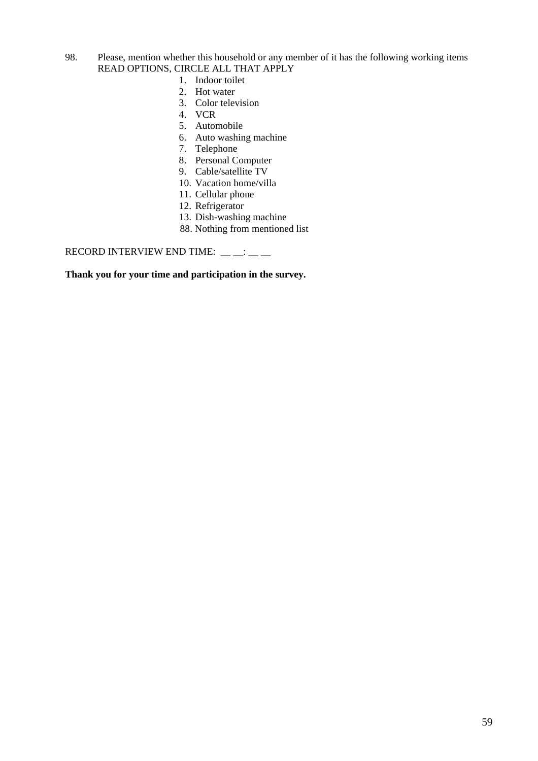- 98. Please, mention whether this household or any member of it has the following working items READ OPTIONS, CIRCLE ALL THAT APPLY
	- 1. Indoor toilet
	- 2. Hot water
	- 3. Color television
	- 4. VCR
	- 5. Automobile
	- 6. Auto washing machine
	- 7. Telephone
	- 8. Personal Computer
	- 9. Cable/satellite TV
	- 10. Vacation home/villa
	- 11. Cellular phone
	- 12. Refrigerator
	- 13. Dish-washing machine
	- 88. Nothing from mentioned list

RECORD INTERVIEW END TIME:  $\_\_ \_\_ \_\_\_\_\_\_\$ 

**Thank you for your time and participation in the survey.**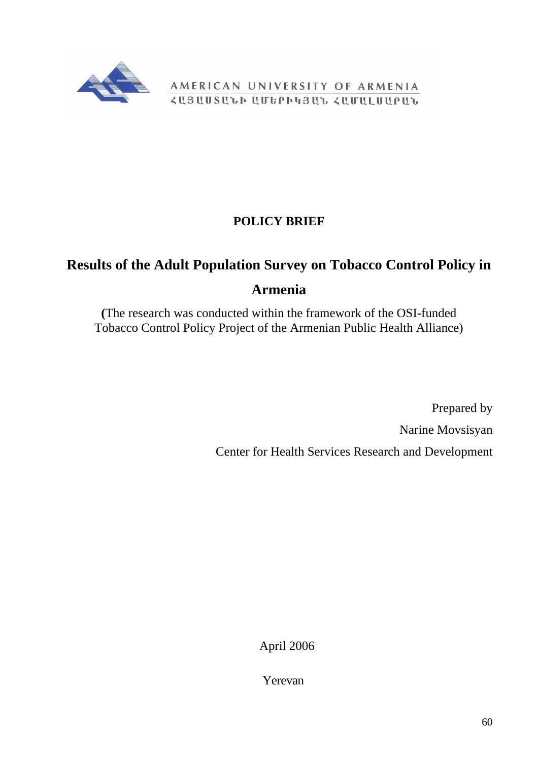<span id="page-60-0"></span>

AMERICAN UNIVERSITY OF ARMENIA *<u>ZUBUUSULP UUGPP43UL ZUUULUUPUL</u>* 

## **POLICY BRIEF**

# **Results of the Adult Population Survey on Tobacco Control Policy in Armenia**

**(**The research was conducted within the framework of the OSI-funded Tobacco Control Policy Project of the Armenian Public Health Alliance)

> Prepared by Narine Movsisyan Center for Health Services Research and Development

> > April 2006

Yerevan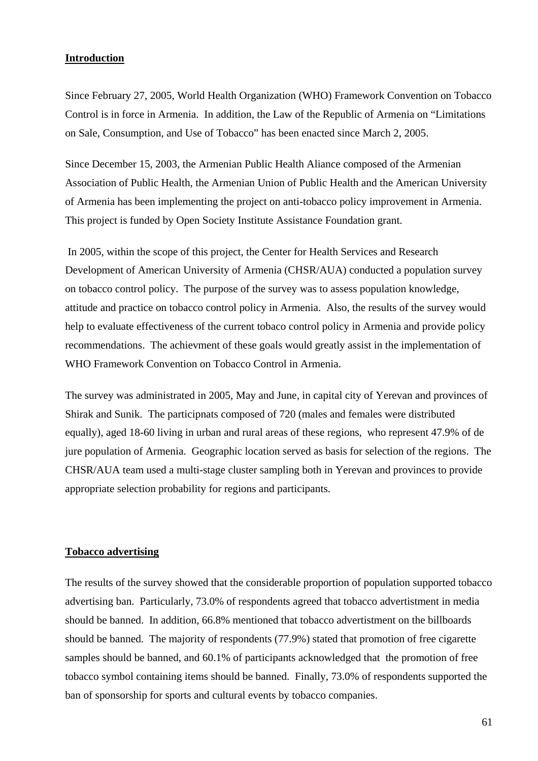#### **Introduction**

Since February 27, 2005, World Health Organization (WHO) Framework Convention on Tobacco Control is in force in Armenia. In addition, the Law of the Republic of Armenia on "Limitations on Sale, Consumption, and Use of Tobacco" has been enacted since March 2, 2005.

Since December 15, 2003, the Armenian Public Health Aliance composed of the Armenian Association of Public Health, the Armenian Union of Public Health and the American University of Armenia has been implementing the project on anti-tobacco policy improvement in Armenia. This project is funded by Open Society Institute Assistance Foundation grant.

 In 2005, within the scope of this project, the Center for Health Services and Research Development of American University of Armenia (CHSR/AUA) conducted a population survey on tobacco control policy. The purpose of the survey was to assess population knowledge, attitude and practice on tobacco control policy in Armenia. Also, the results of the survey would help to evaluate effectiveness of the current tobaco control policy in Armenia and provide policy recommendations. The achievment of these goals would greatly assist in the implementation of WHO Framework Convention on Tobacco Control in Armenia.

The survey was administrated in 2005, May and June, in capital city of Yerevan and provinces of Shirak and Sunik. The participnats composed of 720 (males and females were distributed equally), aged 18-60 living in urban and rural areas of these regions, who represent 47.9% of de jure population of Armenia. Geographic location served as basis for selection of the regions. The CHSR/AUA team used a multi-stage cluster sampling both in Yerevan and provinces to provide appropriate selection probability for regions and participants.

### **Tobacco advertising**

The results of the survey showed that the considerable proportion of population supported tobacco advertising ban. Particularly, 73.0% of respondents agreed that tobacco advertistment in media should be banned. In addition, 66.8% mentioned that tobacco advertistment on the billboards should be banned. The majority of respondents (77.9%) stated that promotion of free cigarette samples should be banned, and 60.1% of participants acknowledged that the promotion of free tobacco symbol containing items should be banned. Finally, 73.0% of respondents supported the ban of sponsorship for sports and cultural events by tobacco companies.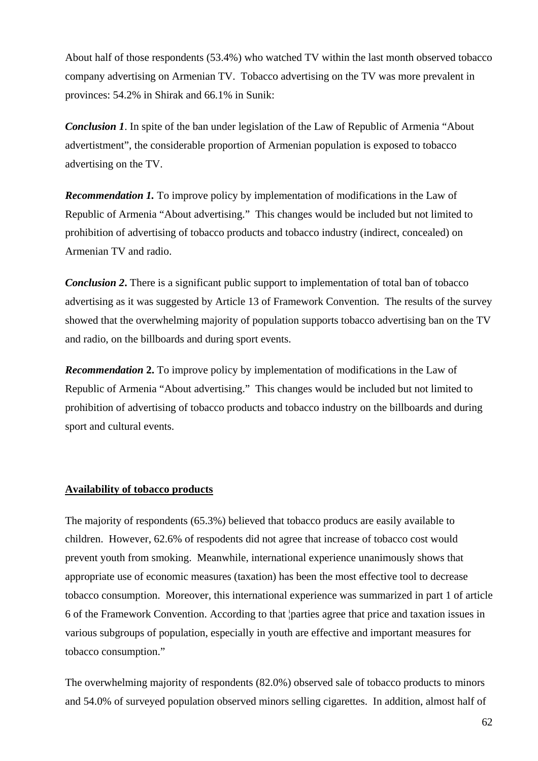About half of those respondents (53.4%) who watched TV within the last month observed tobacco company advertising on Armenian TV. Tobacco advertising on the TV was more prevalent in provinces: 54.2% in Shirak and 66.1% in Sunik:

*Conclusion 1*. In spite of the ban under legislation of the Law of Republic of Armenia "About advertistment", the considerable proportion of Armenian population is exposed to tobacco advertising on the TV.

*Recommendation 1.* To improve policy by implementation of modifications in the Law of Republic of Armenia "About advertising." This changes would be included but not limited to prohibition of advertising of tobacco products and tobacco industry (indirect, concealed) on Armenian TV and radio.

*Conclusion 2*. There is a significant public support to implementation of total ban of tobacco advertising as it was suggested by Article 13 of Framework Convention. The results of the survey showed that the overwhelming majority of population supports tobacco advertising ban on the TV and radio, on the billboards and during sport events.

*Recommendation 2.* To improve policy by implementation of modifications in the Law of Republic of Armenia "About advertising." This changes would be included but not limited to prohibition of advertising of tobacco products and tobacco industry on the billboards and during sport and cultural events.

## **Availability of tobacco products**

The majority of respondents (65.3%) believed that tobacco producs are easily available to children. However, 62.6% of respodents did not agree that increase of tobacco cost would prevent youth from smoking. Meanwhile, international experience unanimously shows that appropriate use of economic measures (taxation) has been the most effective tool to decrease tobacco consumption. Moreover, this international experience was summarized in part 1 of article 6 of the Framework Convention. According to that ¦parties agree that price and taxation issues in various subgroups of population, especially in youth are effective and important measures for tobacco consumption."

The overwhelming majority of respondents (82.0%) observed sale of tobacco products to minors and 54.0% of surveyed population observed minors selling cigarettes. In addition, almost half of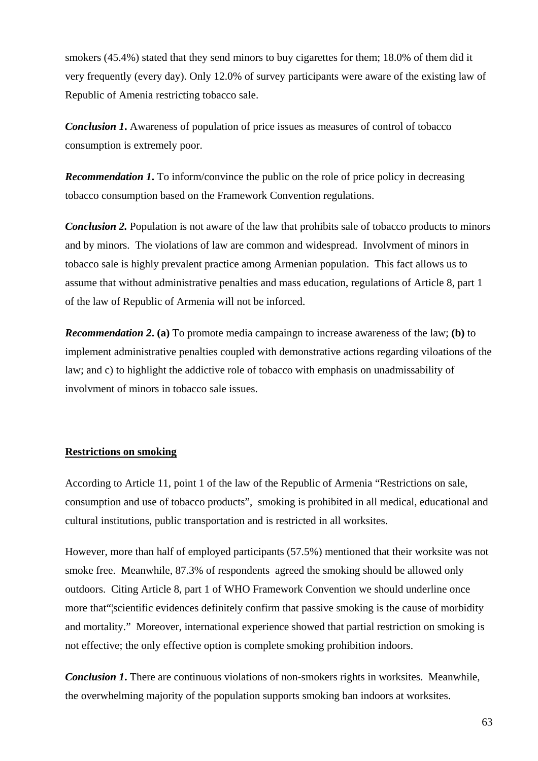smokers (45.4%) stated that they send minors to buy cigarettes for them; 18.0% of them did it very frequently (every day). Only 12.0% of survey participants were aware of the existing law of Republic of Amenia restricting tobacco sale.

*Conclusion 1*. Awareness of population of price issues as measures of control of tobacco consumption is extremely poor.

*Recommendation 1***.** To inform/convince the public on the role of price policy in decreasing tobacco consumption based on the Framework Convention regulations.

*Conclusion 2.* Population is not aware of the law that prohibits sale of tobacco products to minors and by minors. The violations of law are common and widespread. Involvment of minors in tobacco sale is highly prevalent practice among Armenian population. This fact allows us to assume that without administrative penalties and mass education, regulations of Article 8, part 1 of the law of Republic of Armenia will not be inforced.

*Recommendation 2***. (a)** To promote media campaingn to increase awareness of the law; **(b)** to implement administrative penalties coupled with demonstrative actions regarding viloations of the law; and c) to highlight the addictive role of tobacco with emphasis on unadmissability of involvment of minors in tobacco sale issues.

#### **Restrictions on smoking**

According to Article 11, point 1 of the law of the Republic of Armenia "Restrictions on sale, consumption and use of tobacco products", smoking is prohibited in all medical, educational and cultural institutions, public transportation and is restricted in all worksites.

However, more than half of employed participants (57.5%) mentioned that their worksite was not smoke free. Meanwhile, 87.3% of respondents agreed the smoking should be allowed only outdoors. Citing Article 8, part 1 of WHO Framework Convention we should underline once more that"¦scientific evidences definitely confirm that passive smoking is the cause of morbidity and mortality." Moreover, international experience showed that partial restriction on smoking is not effective; the only effective option is complete smoking prohibition indoors.

*Conclusion 1*. There are continuous violations of non-smokers rights in worksites. Meanwhile, the overwhelming majority of the population supports smoking ban indoors at worksites.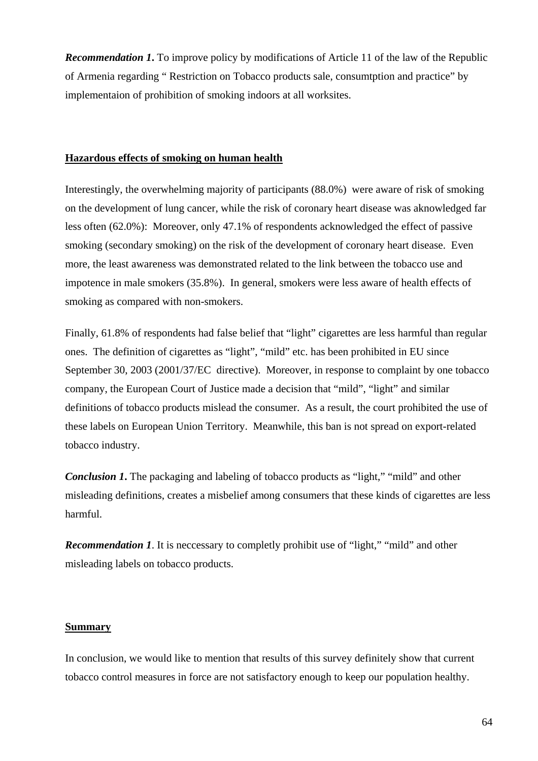*Recommendation 1***.** To improve policy by modifications of Article 11 of the law of the Republic of Armenia regarding " Restriction on Tobacco products sale, consumtption and practice" by implementaion of prohibition of smoking indoors at all worksites.

#### **Hazardous effects of smoking on human health**

Interestingly, the overwhelming majority of participants (88.0%) were aware of risk of smoking on the development of lung cancer, while the risk of coronary heart disease was aknowledged far less often (62.0%): Moreover, only 47.1% of respondents acknowledged the effect of passive smoking (secondary smoking) on the risk of the development of coronary heart disease. Even more, the least awareness was demonstrated related to the link between the tobacco use and impotence in male smokers (35.8%). In general, smokers were less aware of health effects of smoking as compared with non-smokers.

Finally, 61.8% of respondents had false belief that "light" cigarettes are less harmful than regular ones. The definition of cigarettes as "light", "mild" etc. has been prohibited in EU since September 30, 2003 (2001/37/EC directive). Moreover, in response to complaint by one tobacco company, the European Court of Justice made a decision that "mild", "light" and similar definitions of tobacco products mislead the consumer. As a result, the court prohibited the use of these labels on European Union Territory. Meanwhile, this ban is not spread on export-related tobacco industry.

*Conclusion 1*. The packaging and labeling of tobacco products as "light," "mild" and other misleading definitions, creates a misbelief among consumers that these kinds of cigarettes are less harmful.

*Recommendation 1.* It is neccessary to completly prohibit use of "light," "mild" and other misleading labels on tobacco products.

#### **Summary**

In conclusion, we would like to mention that results of this survey definitely show that current tobacco control measures in force are not satisfactory enough to keep our population healthy.